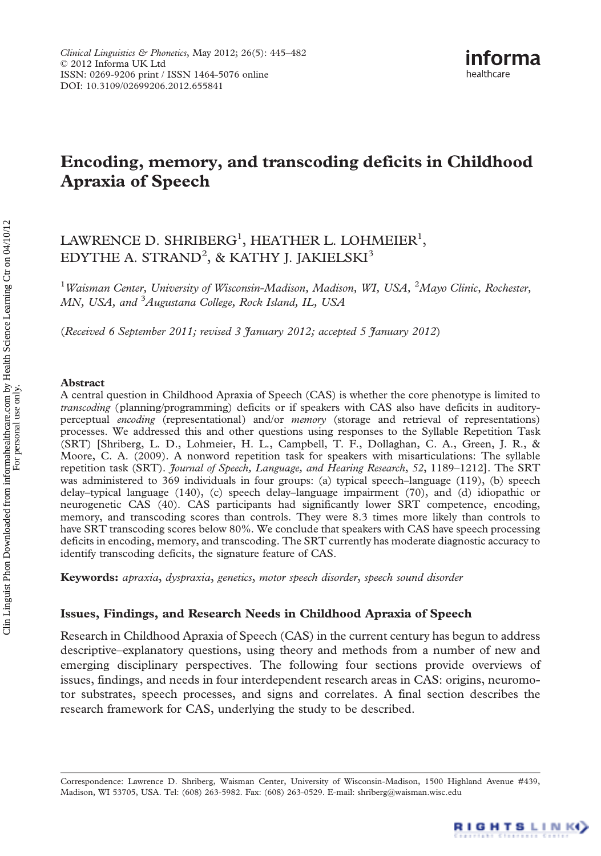RIGHTS LINK()

# Encoding, memory, and transcoding deficits in Childhood Apraxia of Speech

# LAWRENCE D. SHRIBERG $^1$ , HEATHER L. LOHMEIER $^1$ , EDYTHE A. STRAND<sup>2</sup>, & KATHY J. JAKIELSKI<sup>3</sup>

<sup>1</sup>Waisman Center, University of Wisconsin-Madison, Madison, WI, USA, <sup>2</sup>Mayo Clinic, Rochester, MN, USA, and <sup>3</sup>Augustana College, Rock Island, IL, USA

(Received 6 September 2011; revised 3 January 2012; accepted 5 January 2012)

## Abstract

A central question in Childhood Apraxia of Speech (CAS) is whether the core phenotype is limited to transcoding (planning/programming) deficits or if speakers with CAS also have deficits in auditoryperceptual encoding (representational) and/or memory (storage and retrieval of representations) processes. We addressed this and other questions using responses to the Syllable Repetition Task (SRT) [Shriberg, L. D., Lohmeier, H. L., Campbell, T. F., Dollaghan, C. A., Green, J. R., & Moore, C. A. (2009). A nonword repetition task for speakers with misarticulations: The syllable repetition task (SRT). Journal of Speech, Language, and Hearing Research, 52, 1189–1212]. The SRT was administered to 369 individuals in four groups: (a) typical speech–language (119), (b) speech delay–typical language (140), (c) speech delay–language impairment (70), and (d) idiopathic or neurogenetic CAS (40). CAS participants had significantly lower SRT competence, encoding, memory, and transcoding scores than controls. They were 8.3 times more likely than controls to have SRT transcoding scores below 80%. We conclude that speakers with CAS have speech processing deficits in encoding, memory, and transcoding. The SRT currently has moderate diagnostic accuracy to identify transcoding deficits, the signature feature of CAS.

Keywords: apraxia, dyspraxia, genetics, motor speech disorder, speech sound disorder

# Issues, Findings, and Research Needs in Childhood Apraxia of Speech

Research in Childhood Apraxia of Speech (CAS) in the current century has begun to address descriptive–explanatory questions, using theory and methods from a number of new and emerging disciplinary perspectives. The following four sections provide overviews of issues, findings, and needs in four interdependent research areas in CAS: origins, neuromotor substrates, speech processes, and signs and correlates. A final section describes the research framework for CAS, underlying the study to be described.

Correspondence: Lawrence D. Shriberg, Waisman Center, University of Wisconsin-Madison, 1500 Highland Avenue #439, Madison, WI 53705, USA. Tel: (608) 263-5982. Fax: (608) 263-0529. E-mail: shriberg@waisman.wisc.edu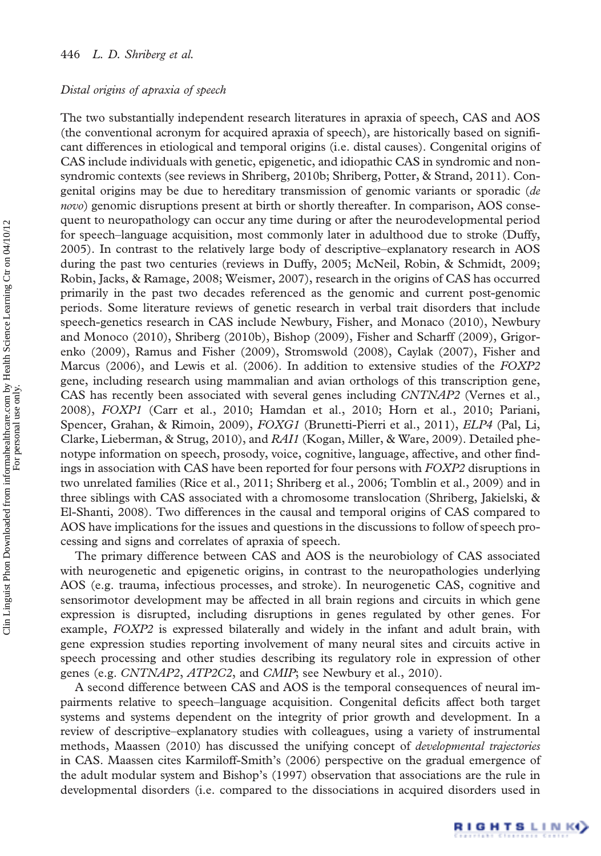# Distal origins of apraxia of speech

The two substantially independent research literatures in apraxia of speech, CAS and AOS (the conventional acronym for acquired apraxia of speech), are historically based on significant differences in etiological and temporal origins (i.e. distal causes). Congenital origins of CAS include individuals with genetic, epigenetic, and idiopathic CAS in syndromic and nonsyndromic contexts (see reviews in Shriberg, 2010b; Shriberg, Potter, & Strand, 2011). Congenital origins may be due to hereditary transmission of genomic variants or sporadic (de novo) genomic disruptions present at birth or shortly thereafter. In comparison, AOS consequent to neuropathology can occur any time during or after the neurodevelopmental period for speech–language acquisition, most commonly later in adulthood due to stroke (Duffy, 2005). In contrast to the relatively large body of descriptive–explanatory research in AOS during the past two centuries (reviews in Duffy, 2005; McNeil, Robin, & Schmidt, 2009; Robin, Jacks, & Ramage, 2008; Weismer, 2007), research in the origins of CAS has occurred primarily in the past two decades referenced as the genomic and current post-genomic periods. Some literature reviews of genetic research in verbal trait disorders that include speech-genetics research in CAS include Newbury, Fisher, and Monaco (2010), Newbury and Monoco (2010), Shriberg (2010b), Bishop (2009), Fisher and Scharff (2009), Grigorenko (2009), Ramus and Fisher (2009), Stromswold (2008), Caylak (2007), Fisher and Marcus (2006), and Lewis et al. (2006). In addition to extensive studies of the FOXP2 gene, including research using mammalian and avian orthologs of this transcription gene, CAS has recently been associated with several genes including CNTNAP2 (Vernes et al., 2008), FOXP1 (Carr et al., 2010; Hamdan et al., 2010; Horn et al., 2010; Pariani, Spencer, Grahan, & Rimoin, 2009), FOXG1 (Brunetti-Pierri et al., 2011), ELP4 (Pal, Li, Clarke, Lieberman, & Strug, 2010), and RAI1 (Kogan, Miller, & Ware, 2009). Detailed phenotype information on speech, prosody, voice, cognitive, language, affective, and other findings in association with CAS have been reported for four persons with FOXP2 disruptions in two unrelated families (Rice et al., 2011; Shriberg et al., 2006; Tomblin et al., 2009) and in three siblings with CAS associated with a chromosome translocation (Shriberg, Jakielski, & El-Shanti, 2008). Two differences in the causal and temporal origins of CAS compared to AOS have implications for the issues and questions in the discussions to follow of speech processing and signs and correlates of apraxia of speech.

The primary difference between CAS and AOS is the neurobiology of CAS associated with neurogenetic and epigenetic origins, in contrast to the neuropathologies underlying AOS (e.g. trauma, infectious processes, and stroke). In neurogenetic CAS, cognitive and sensorimotor development may be affected in all brain regions and circuits in which gene expression is disrupted, including disruptions in genes regulated by other genes. For example, FOXP2 is expressed bilaterally and widely in the infant and adult brain, with gene expression studies reporting involvement of many neural sites and circuits active in speech processing and other studies describing its regulatory role in expression of other genes (e.g. CNTNAP2, ATP2C2, and CMIP; see Newbury et al., 2010).

A second difference between CAS and AOS is the temporal consequences of neural impairments relative to speech–language acquisition. Congenital deficits affect both target systems and systems dependent on the integrity of prior growth and development. In a review of descriptive–explanatory studies with colleagues, using a variety of instrumental methods, Maassen (2010) has discussed the unifying concept of *developmental trajectories* in CAS. Maassen cites Karmiloff-Smith's (2006) perspective on the gradual emergence of the adult modular system and Bishop's (1997) observation that associations are the rule in developmental disorders (i.e. compared to the dissociations in acquired disorders used in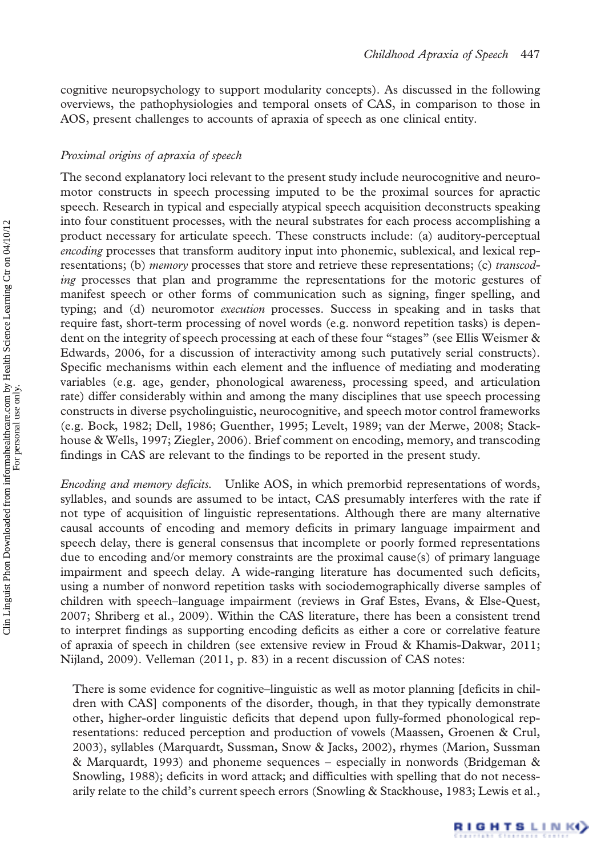cognitive neuropsychology to support modularity concepts). As discussed in the following overviews, the pathophysiologies and temporal onsets of CAS, in comparison to those in AOS, present challenges to accounts of apraxia of speech as one clinical entity.

# Proximal origins of apraxia of speech

The second explanatory loci relevant to the present study include neurocognitive and neuromotor constructs in speech processing imputed to be the proximal sources for apractic speech. Research in typical and especially atypical speech acquisition deconstructs speaking into four constituent processes, with the neural substrates for each process accomplishing a product necessary for articulate speech. These constructs include: (a) auditory-perceptual encoding processes that transform auditory input into phonemic, sublexical, and lexical representations; (b) *memory* processes that store and retrieve these representations; (c) *transcod*ing processes that plan and programme the representations for the motoric gestures of manifest speech or other forms of communication such as signing, finger spelling, and typing; and (d) neuromotor execution processes. Success in speaking and in tasks that require fast, short-term processing of novel words (e.g. nonword repetition tasks) is dependent on the integrity of speech processing at each of these four "stages" (see Ellis Weismer & Edwards, 2006, for a discussion of interactivity among such putatively serial constructs). Specific mechanisms within each element and the influence of mediating and moderating variables (e.g. age, gender, phonological awareness, processing speed, and articulation rate) differ considerably within and among the many disciplines that use speech processing constructs in diverse psycholinguistic, neurocognitive, and speech motor control frameworks (e.g. Bock, 1982; Dell, 1986; Guenther, 1995; Levelt, 1989; van der Merwe, 2008; Stackhouse & Wells, 1997; Ziegler, 2006). Brief comment on encoding, memory, and transcoding findings in CAS are relevant to the findings to be reported in the present study.

Encoding and memory deficits. Unlike AOS, in which premorbid representations of words, syllables, and sounds are assumed to be intact, CAS presumably interferes with the rate if not type of acquisition of linguistic representations. Although there are many alternative causal accounts of encoding and memory deficits in primary language impairment and speech delay, there is general consensus that incomplete or poorly formed representations due to encoding and/or memory constraints are the proximal cause(s) of primary language impairment and speech delay. A wide-ranging literature has documented such deficits, using a number of nonword repetition tasks with sociodemographically diverse samples of children with speech–language impairment (reviews in Graf Estes, Evans, & Else-Quest, 2007; Shriberg et al., 2009). Within the CAS literature, there has been a consistent trend to interpret findings as supporting encoding deficits as either a core or correlative feature of apraxia of speech in children (see extensive review in Froud & Khamis-Dakwar, 2011; Nijland, 2009). Velleman (2011, p. 83) in a recent discussion of CAS notes:

There is some evidence for cognitive–linguistic as well as motor planning [deficits in children with CAS] components of the disorder, though, in that they typically demonstrate other, higher-order linguistic deficits that depend upon fully-formed phonological representations: reduced perception and production of vowels (Maassen, Groenen & Crul, 2003), syllables (Marquardt, Sussman, Snow & Jacks, 2002), rhymes (Marion, Sussman & Marquardt, 1993) and phoneme sequences – especially in nonwords (Bridgeman & Snowling, 1988); deficits in word attack; and difficulties with spelling that do not necessarily relate to the child's current speech errors (Snowling & Stackhouse, 1983; Lewis et al.,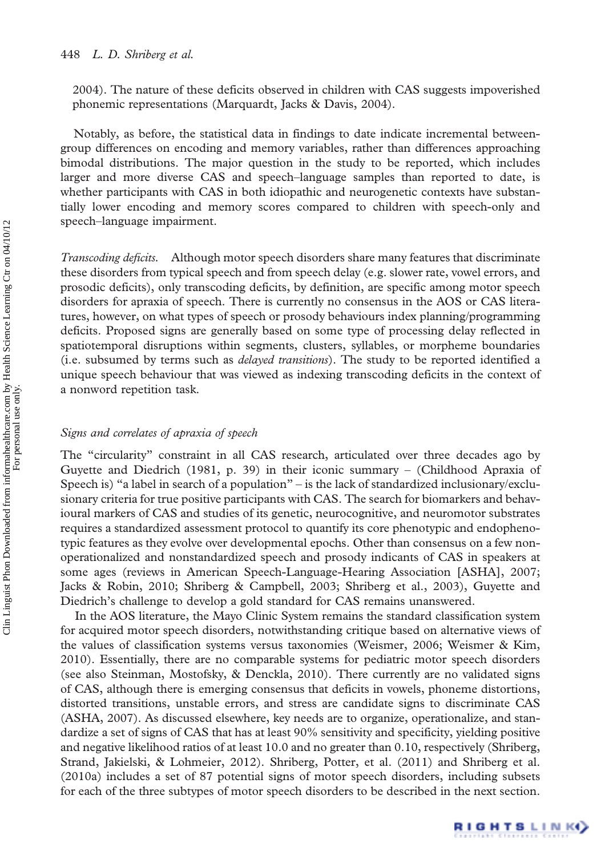2004). The nature of these deficits observed in children with CAS suggests impoverished phonemic representations (Marquardt, Jacks & Davis, 2004).

Notably, as before, the statistical data in findings to date indicate incremental betweengroup differences on encoding and memory variables, rather than differences approaching bimodal distributions. The major question in the study to be reported, which includes larger and more diverse CAS and speech–language samples than reported to date, is whether participants with CAS in both idiopathic and neurogenetic contexts have substantially lower encoding and memory scores compared to children with speech-only and speech–language impairment.

Transcoding deficits. Although motor speech disorders share many features that discriminate these disorders from typical speech and from speech delay (e.g. slower rate, vowel errors, and prosodic deficits), only transcoding deficits, by definition, are specific among motor speech disorders for apraxia of speech. There is currently no consensus in the AOS or CAS literatures, however, on what types of speech or prosody behaviours index planning/programming deficits. Proposed signs are generally based on some type of processing delay reflected in spatiotemporal disruptions within segments, clusters, syllables, or morpheme boundaries (i.e. subsumed by terms such as delayed transitions). The study to be reported identified a unique speech behaviour that was viewed as indexing transcoding deficits in the context of a nonword repetition task.

# Signs and correlates of apraxia of speech

The "circularity" constraint in all CAS research, articulated over three decades ago by Guyette and Diedrich (1981, p. 39) in their iconic summary – (Childhood Apraxia of Speech is) "a label in search of a population" – is the lack of standardized inclusionary/exclusionary criteria for true positive participants with CAS. The search for biomarkers and behavioural markers of CAS and studies of its genetic, neurocognitive, and neuromotor substrates requires a standardized assessment protocol to quantify its core phenotypic and endophenotypic features as they evolve over developmental epochs. Other than consensus on a few nonoperationalized and nonstandardized speech and prosody indicants of CAS in speakers at some ages (reviews in American Speech-Language-Hearing Association [ASHA], 2007; Jacks & Robin, 2010; Shriberg & Campbell, 2003; Shriberg et al., 2003), Guyette and Diedrich's challenge to develop a gold standard for CAS remains unanswered.

In the AOS literature, the Mayo Clinic System remains the standard classification system for acquired motor speech disorders, notwithstanding critique based on alternative views of the values of classification systems versus taxonomies (Weismer, 2006; Weismer & Kim, 2010). Essentially, there are no comparable systems for pediatric motor speech disorders (see also Steinman, Mostofsky, & Denckla, 2010). There currently are no validated signs of CAS, although there is emerging consensus that deficits in vowels, phoneme distortions, distorted transitions, unstable errors, and stress are candidate signs to discriminate CAS (ASHA, 2007). As discussed elsewhere, key needs are to organize, operationalize, and standardize a set of signs of CAS that has at least 90% sensitivity and specificity, yielding positive and negative likelihood ratios of at least 10.0 and no greater than 0.10, respectively (Shriberg, Strand, Jakielski, & Lohmeier, 2012). Shriberg, Potter, et al. (2011) and Shriberg et al. (2010a) includes a set of 87 potential signs of motor speech disorders, including subsets for each of the three subtypes of motor speech disorders to be described in the next section.

RIGHTSLINK()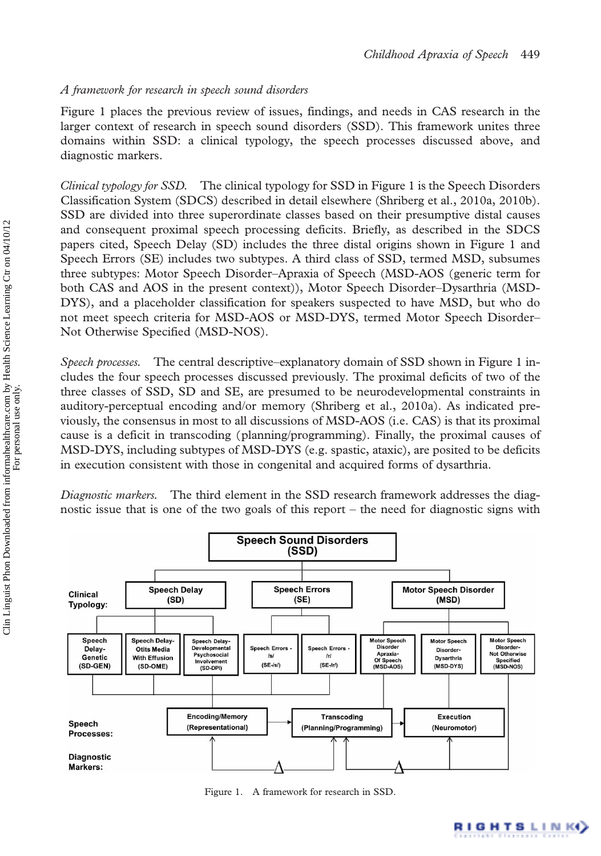# A framework for research in speech sound disorders

Figure 1 places the previous review of issues, findings, and needs in CAS research in the larger context of research in speech sound disorders (SSD). This framework unites three domains within SSD: a clinical typology, the speech processes discussed above, and diagnostic markers.

Clinical typology for SSD. The clinical typology for SSD in Figure 1 is the Speech Disorders Classification System (SDCS) described in detail elsewhere (Shriberg et al., 2010a, 2010b). SSD are divided into three superordinate classes based on their presumptive distal causes and consequent proximal speech processing deficits. Briefly, as described in the SDCS papers cited, Speech Delay (SD) includes the three distal origins shown in Figure 1 and Speech Errors (SE) includes two subtypes. A third class of SSD, termed MSD, subsumes three subtypes: Motor Speech Disorder–Apraxia of Speech (MSD-AOS (generic term for both CAS and AOS in the present context)), Motor Speech Disorder–Dysarthria (MSD-DYS), and a placeholder classification for speakers suspected to have MSD, but who do not meet speech criteria for MSD-AOS or MSD-DYS, termed Motor Speech Disorder– Not Otherwise Specified (MSD-NOS).

Speech processes. The central descriptive–explanatory domain of SSD shown in Figure 1 includes the four speech processes discussed previously. The proximal deficits of two of the three classes of SSD, SD and SE, are presumed to be neurodevelopmental constraints in auditory-perceptual encoding and/or memory (Shriberg et al., 2010a). As indicated previously, the consensus in most to all discussions of MSD-AOS (i.e. CAS) is that its proximal cause is a deficit in transcoding (planning/programming). Finally, the proximal causes of MSD-DYS, including subtypes of MSD-DYS (e.g. spastic, ataxic), are posited to be deficits in execution consistent with those in congenital and acquired forms of dysarthria.

Diagnostic markers. The third element in the SSD research framework addresses the diagnostic issue that is one of the two goals of this report – the need for diagnostic signs with



Figure 1. A framework for research in SSD.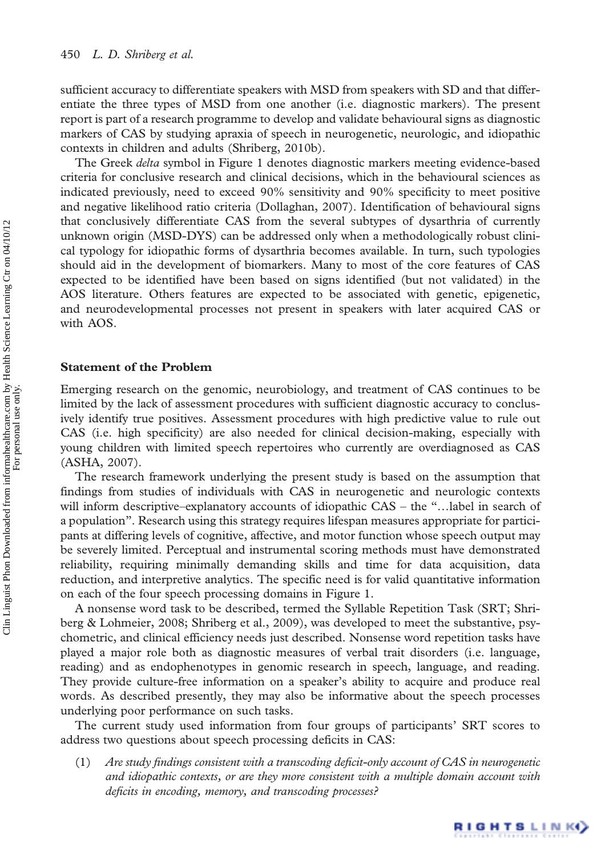sufficient accuracy to differentiate speakers with MSD from speakers with SD and that differentiate the three types of MSD from one another (i.e. diagnostic markers). The present report is part of a research programme to develop and validate behavioural signs as diagnostic markers of CAS by studying apraxia of speech in neurogenetic, neurologic, and idiopathic contexts in children and adults (Shriberg, 2010b).

The Greek delta symbol in Figure 1 denotes diagnostic markers meeting evidence-based criteria for conclusive research and clinical decisions, which in the behavioural sciences as indicated previously, need to exceed 90% sensitivity and 90% specificity to meet positive and negative likelihood ratio criteria (Dollaghan, 2007). Identification of behavioural signs that conclusively differentiate CAS from the several subtypes of dysarthria of currently unknown origin (MSD-DYS) can be addressed only when a methodologically robust clinical typology for idiopathic forms of dysarthria becomes available. In turn, such typologies should aid in the development of biomarkers. Many to most of the core features of CAS expected to be identified have been based on signs identified (but not validated) in the AOS literature. Others features are expected to be associated with genetic, epigenetic, and neurodevelopmental processes not present in speakers with later acquired CAS or with AOS.

#### Statement of the Problem

Emerging research on the genomic, neurobiology, and treatment of CAS continues to be limited by the lack of assessment procedures with sufficient diagnostic accuracy to conclusively identify true positives. Assessment procedures with high predictive value to rule out CAS (i.e. high specificity) are also needed for clinical decision-making, especially with young children with limited speech repertoires who currently are overdiagnosed as CAS (ASHA, 2007).

The research framework underlying the present study is based on the assumption that findings from studies of individuals with CAS in neurogenetic and neurologic contexts will inform descriptive–explanatory accounts of idiopathic CAS – the "... label in search of a population". Research using this strategy requires lifespan measures appropriate for participants at differing levels of cognitive, affective, and motor function whose speech output may be severely limited. Perceptual and instrumental scoring methods must have demonstrated reliability, requiring minimally demanding skills and time for data acquisition, data reduction, and interpretive analytics. The specific need is for valid quantitative information on each of the four speech processing domains in Figure 1.

A nonsense word task to be described, termed the Syllable Repetition Task (SRT; Shriberg & Lohmeier, 2008; Shriberg et al., 2009), was developed to meet the substantive, psychometric, and clinical efficiency needs just described. Nonsense word repetition tasks have played a major role both as diagnostic measures of verbal trait disorders (i.e. language, reading) and as endophenotypes in genomic research in speech, language, and reading. They provide culture-free information on a speaker's ability to acquire and produce real words. As described presently, they may also be informative about the speech processes underlying poor performance on such tasks.

The current study used information from four groups of participants' SRT scores to address two questions about speech processing deficits in CAS:

(1) Are study findings consistent with a transcoding deficit-only account of CAS in neurogenetic and idiopathic contexts, or are they more consistent with a multiple domain account with deficits in encoding, memory, and transcoding processes?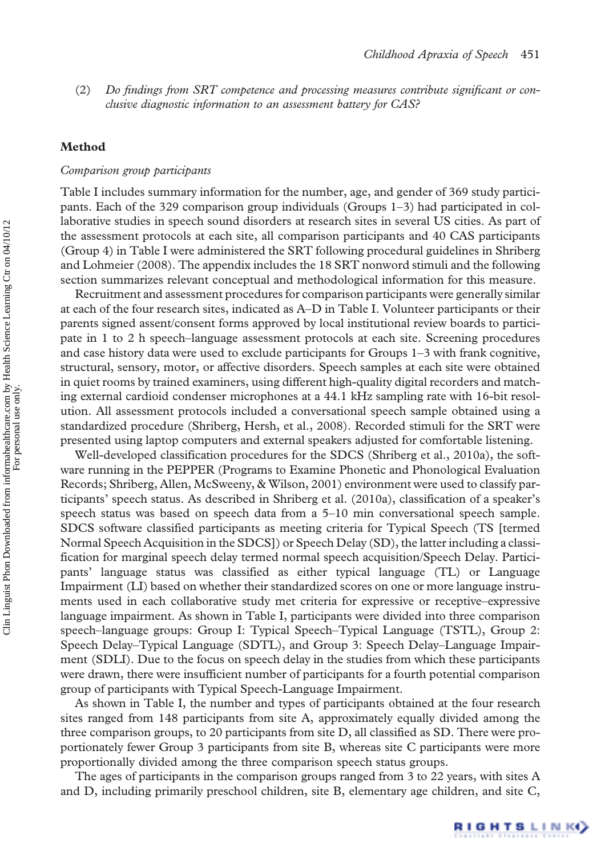(2) Do findings from SRT competence and processing measures contribute significant or conclusive diagnostic information to an assessment battery for CAS?

# Method

## Comparison group participants

Table I includes summary information for the number, age, and gender of 369 study participants. Each of the 329 comparison group individuals (Groups 1–3) had participated in collaborative studies in speech sound disorders at research sites in several US cities. As part of the assessment protocols at each site, all comparison participants and 40 CAS participants (Group 4) in Table I were administered the SRT following procedural guidelines in Shriberg and Lohmeier (2008). The appendix includes the 18 SRT nonword stimuli and the following section summarizes relevant conceptual and methodological information for this measure.

Recruitment and assessment procedures for comparison participants were generally similar at each of the four research sites, indicated as A–D in Table I. Volunteer participants or their parents signed assent/consent forms approved by local institutional review boards to participate in 1 to 2 h speech–language assessment protocols at each site. Screening procedures and case history data were used to exclude participants for Groups 1–3 with frank cognitive, structural, sensory, motor, or affective disorders. Speech samples at each site were obtained in quiet rooms by trained examiners, using different high-quality digital recorders and matching external cardioid condenser microphones at a 44.1 kHz sampling rate with 16-bit resolution. All assessment protocols included a conversational speech sample obtained using a standardized procedure (Shriberg, Hersh, et al., 2008). Recorded stimuli for the SRT were presented using laptop computers and external speakers adjusted for comfortable listening.

Well-developed classification procedures for the SDCS (Shriberg et al., 2010a), the software running in the PEPPER (Programs to Examine Phonetic and Phonological Evaluation Records; Shriberg, Allen, McSweeny, & Wilson, 2001) environment were used to classify participants' speech status. As described in Shriberg et al. (2010a), classification of a speaker's speech status was based on speech data from a 5–10 min conversational speech sample. SDCS software classified participants as meeting criteria for Typical Speech (TS [termed Normal Speech Acquisition in the SDCS]) or Speech Delay (SD), the latter including a classification for marginal speech delay termed normal speech acquisition/Speech Delay. Participants' language status was classified as either typical language (TL) or Language Impairment (LI) based on whether their standardized scores on one or more language instruments used in each collaborative study met criteria for expressive or receptive–expressive language impairment. As shown in Table I, participants were divided into three comparison speech–language groups: Group I: Typical Speech–Typical Language (TSTL), Group 2: Speech Delay–Typical Language (SDTL), and Group 3: Speech Delay–Language Impairment (SDLI). Due to the focus on speech delay in the studies from which these participants were drawn, there were insufficient number of participants for a fourth potential comparison group of participants with Typical Speech-Language Impairment.

As shown in Table I, the number and types of participants obtained at the four research sites ranged from 148 participants from site A, approximately equally divided among the three comparison groups, to 20 participants from site  $D$ , all classified as SD. There were proportionately fewer Group 3 participants from site B, whereas site C participants were more proportionally divided among the three comparison speech status groups.

The ages of participants in the comparison groups ranged from 3 to 22 years, with sites A and D, including primarily preschool children, site B, elementary age children, and site C,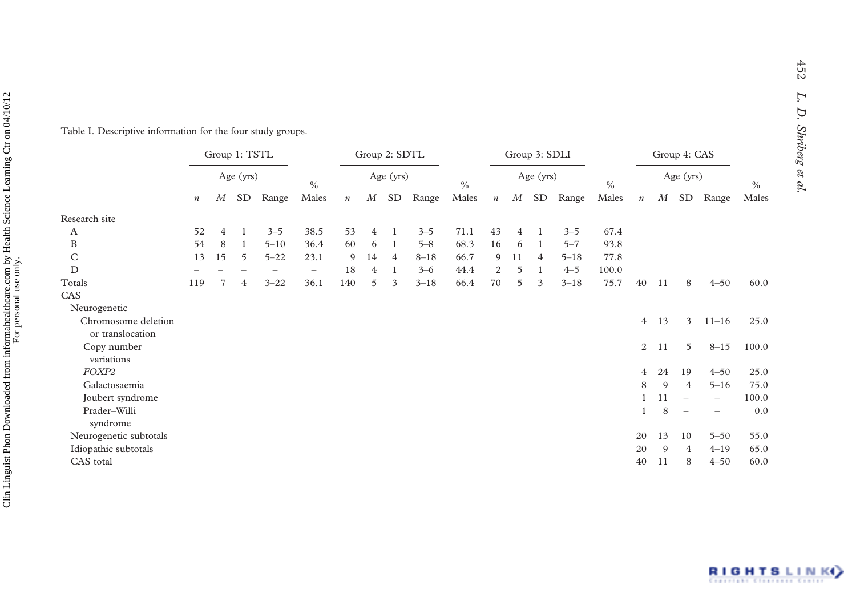|                                         |                  |                  | Group 1: TSTL |          |                          |                  |                  | Group 2: SDTL  |          |       |                  |                  | Group 3: SDLI |          |       |                  |                  | Group 4: CAS   |                          |               |
|-----------------------------------------|------------------|------------------|---------------|----------|--------------------------|------------------|------------------|----------------|----------|-------|------------------|------------------|---------------|----------|-------|------------------|------------------|----------------|--------------------------|---------------|
|                                         |                  |                  | Age (yrs)     |          | $\%$                     |                  |                  | Age (yrs)      |          | $\%$  |                  |                  | Age (yrs)     |          | $\%$  |                  |                  | Age (yrs)      |                          | $\frac{0}{0}$ |
|                                         | $\boldsymbol{n}$ | $\boldsymbol{M}$ | <b>SD</b>     | Range    | Males                    | $\boldsymbol{n}$ | $\boldsymbol{M}$ | <b>SD</b>      | Range    | Males | $\boldsymbol{n}$ | $\boldsymbol{M}$ | SD            | Range    | Males | $\boldsymbol{n}$ | $\boldsymbol{M}$ | <b>SD</b>      | Range                    | Males         |
| Research site                           |                  |                  |               |          |                          |                  |                  |                |          |       |                  |                  |               |          |       |                  |                  |                |                          |               |
| A                                       | 52               | $\overline{4}$   | $\mathbf{1}$  | $3 - 5$  | 38.5                     | 53               | $\overline{4}$   | 1              | $3 - 5$  | 71.1  | 43               | $\overline{4}$   | $\mathbf{1}$  | $3 - 5$  | 67.4  |                  |                  |                |                          |               |
| B                                       | 54               | 8                |               | $5 - 10$ | 36.4                     | 60               | 6                | 1              | $5 - 8$  | 68.3  | 16               | 6                | 1             | $5 - 7$  | 93.8  |                  |                  |                |                          |               |
| C                                       | 13               | 15               | 5             | $5 - 22$ | 23.1                     | 9                | 14               | $\overline{4}$ | $8 - 18$ | 66.7  | 9                | 11               | 4             | $5 - 18$ | 77.8  |                  |                  |                |                          |               |
| D                                       |                  |                  |               |          | $\overline{\phantom{m}}$ | 18               | 4                | -1             | $3 - 6$  | 44.4  | 2                | 5                | 1             | $4 - 5$  | 100.0 |                  |                  |                |                          |               |
| Totals                                  | 119              | $\overline{7}$   | 4             | $3 - 22$ | 36.1                     | 140              | 5                | 3              | $3 - 18$ | 66.4  | 70               | 5                | 3             | $3 - 18$ | 75.7  | 40               | 11               | 8              | $4 - 50$                 | 60.0          |
| CAS                                     |                  |                  |               |          |                          |                  |                  |                |          |       |                  |                  |               |          |       |                  |                  |                |                          |               |
| Neurogenetic                            |                  |                  |               |          |                          |                  |                  |                |          |       |                  |                  |               |          |       |                  |                  |                |                          |               |
| Chromosome deletion<br>or translocation |                  |                  |               |          |                          |                  |                  |                |          |       |                  |                  |               |          |       | 4                | 13               | 3              | $11 - 16$                | 25.0          |
| Copy number<br>variations               |                  |                  |               |          |                          |                  |                  |                |          |       |                  |                  |               |          |       | 2                | 11               | 5              | $8 - 15$                 | 100.0         |
| FOXP2                                   |                  |                  |               |          |                          |                  |                  |                |          |       |                  |                  |               |          |       | 4                | 24               | 19             | $4 - 50$                 | 25.0          |
| Galactosaemia                           |                  |                  |               |          |                          |                  |                  |                |          |       |                  |                  |               |          |       | 8                | 9                | $\overline{4}$ | $5 - 16$                 | 75.0          |
| Joubert syndrome                        |                  |                  |               |          |                          |                  |                  |                |          |       |                  |                  |               |          |       | 1                | 11               |                | $\overline{\phantom{0}}$ | 100.0         |
| Prader-Willi<br>syndrome                |                  |                  |               |          |                          |                  |                  |                |          |       |                  |                  |               |          |       |                  | 8                |                |                          | 0.0           |
| Neurogenetic subtotals                  |                  |                  |               |          |                          |                  |                  |                |          |       |                  |                  |               |          |       | 20               | 13               | 10             | $5 - 50$                 | 55.0          |
| Idiopathic subtotals                    |                  |                  |               |          |                          |                  |                  |                |          |       |                  |                  |               |          |       | 20               | 9                | 4              | $4 - 19$                 | 65.0          |
| CAS total                               |                  |                  |               |          |                          |                  |                  |                |          |       |                  |                  |               |          |       | 40               | 11               | 8              | $4 - 50$                 | 60.0          |

Table I. Descriptive information for the four study groups.

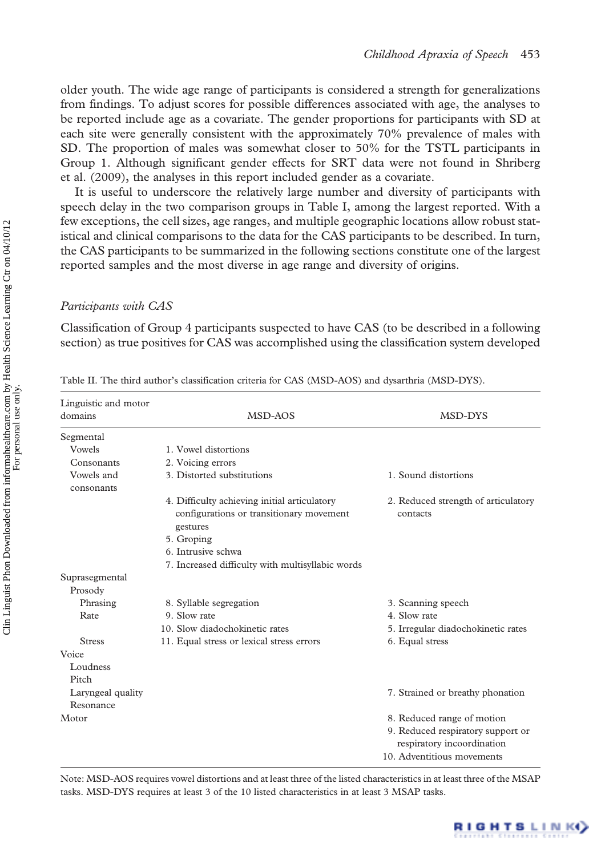RIGHTS LINK()

older youth. The wide age range of participants is considered a strength for generalizations from findings. To adjust scores for possible differences associated with age, the analyses to be reported include age as a covariate. The gender proportions for participants with SD at each site were generally consistent with the approximately 70% prevalence of males with SD. The proportion of males was somewhat closer to 50% for the TSTL participants in Group 1. Although significant gender effects for SRT data were not found in Shriberg et al. (2009), the analyses in this report included gender as a covariate.

It is useful to underscore the relatively large number and diversity of participants with speech delay in the two comparison groups in Table I, among the largest reported. With a few exceptions, the cell sizes, age ranges, and multiple geographic locations allow robust statistical and clinical comparisons to the data for the CAS participants to be described. In turn, the CAS participants to be summarized in the following sections constitute one of the largest reported samples and the most diverse in age range and diversity of origins.

# Participants with CAS

Classification of Group 4 participants suspected to have CAS (to be described in a following section) as true positives for CAS was accomplished using the classification system developed

| Linguistic and motor<br>domains | MSD-AOS                                                                                              | MSD-DYS                                                         |
|---------------------------------|------------------------------------------------------------------------------------------------------|-----------------------------------------------------------------|
|                                 |                                                                                                      |                                                                 |
| Segmental                       |                                                                                                      |                                                                 |
| Vowels                          | 1. Vowel distortions                                                                                 |                                                                 |
| Consonants                      | 2. Voicing errors                                                                                    |                                                                 |
| Vowels and<br>consonants        | 3. Distorted substitutions                                                                           | 1. Sound distortions                                            |
|                                 | 4. Difficulty achieving initial articulatory<br>configurations or transitionary movement<br>gestures | 2. Reduced strength of articulatory<br>contacts                 |
|                                 | 5. Groping                                                                                           |                                                                 |
|                                 | 6. Intrusive schwa                                                                                   |                                                                 |
|                                 | 7. Increased difficulty with multisyllabic words                                                     |                                                                 |
| Suprasegmental                  |                                                                                                      |                                                                 |
| Prosody                         |                                                                                                      |                                                                 |
| Phrasing                        | 8. Syllable segregation                                                                              | 3. Scanning speech                                              |
| Rate                            | 9. Slow rate                                                                                         | 4. Slow rate                                                    |
|                                 | 10. Slow diadochokinetic rates                                                                       | 5. Irregular diadochokinetic rates                              |
| <b>Stress</b>                   | 11. Equal stress or lexical stress errors                                                            | 6. Equal stress                                                 |
| Voice                           |                                                                                                      |                                                                 |
| Loudness                        |                                                                                                      |                                                                 |
| Pitch                           |                                                                                                      |                                                                 |
| Laryngeal quality               |                                                                                                      | 7. Strained or breathy phonation                                |
| Resonance                       |                                                                                                      |                                                                 |
| Motor                           |                                                                                                      | 8. Reduced range of motion                                      |
|                                 |                                                                                                      | 9. Reduced respiratory support or<br>respiratory incoordination |
|                                 |                                                                                                      | 10. Adventitious movements                                      |

Table II. The third author's classification criteria for CAS (MSD-AOS) and dysarthria (MSD-DYS).

Note: MSD-AOS requires vowel distortions and at least three of the listed characteristics in at least three of the MSAP tasks. MSD-DYS requires at least 3 of the 10 listed characteristics in at least 3 MSAP tasks.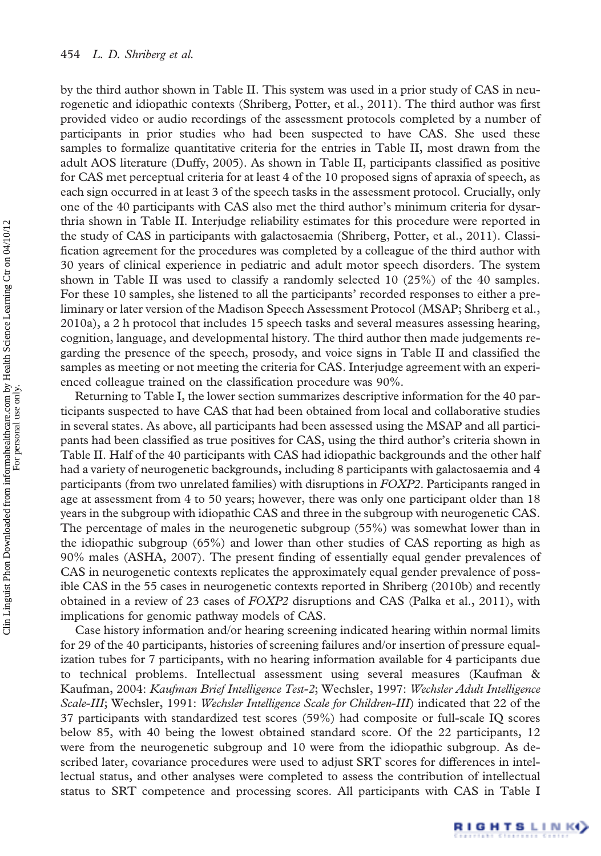by the third author shown in Table II. This system was used in a prior study of CAS in neurogenetic and idiopathic contexts (Shriberg, Potter, et al., 2011). The third author was first provided video or audio recordings of the assessment protocols completed by a number of participants in prior studies who had been suspected to have CAS. She used these samples to formalize quantitative criteria for the entries in Table II, most drawn from the adult AOS literature (Duffy, 2005). As shown in Table II, participants classified as positive for CAS met perceptual criteria for at least 4 of the 10 proposed signs of apraxia of speech, as each sign occurred in at least 3 of the speech tasks in the assessment protocol. Crucially, only one of the 40 participants with CAS also met the third author's minimum criteria for dysarthria shown in Table II. Interjudge reliability estimates for this procedure were reported in the study of CAS in participants with galactosaemia (Shriberg, Potter, et al., 2011). Classification agreement for the procedures was completed by a colleague of the third author with 30 years of clinical experience in pediatric and adult motor speech disorders. The system shown in Table II was used to classify a randomly selected 10 (25%) of the 40 samples. For these 10 samples, she listened to all the participants' recorded responses to either a preliminary or later version of the Madison Speech Assessment Protocol (MSAP; Shriberg et al., 2010a), a 2 h protocol that includes 15 speech tasks and several measures assessing hearing, cognition, language, and developmental history. The third author then made judgements regarding the presence of the speech, prosody, and voice signs in Table II and classified the samples as meeting or not meeting the criteria for CAS. Interjudge agreement with an experienced colleague trained on the classification procedure was 90%.

Returning to Table I, the lower section summarizes descriptive information for the 40 participants suspected to have CAS that had been obtained from local and collaborative studies in several states. As above, all participants had been assessed using the MSAP and all participants had been classified as true positives for CAS, using the third author's criteria shown in Table II. Half of the 40 participants with CAS had idiopathic backgrounds and the other half had a variety of neurogenetic backgrounds, including 8 participants with galactosaemia and 4 participants (from two unrelated families) with disruptions in FOXP2. Participants ranged in age at assessment from 4 to 50 years; however, there was only one participant older than 18 years in the subgroup with idiopathic CAS and three in the subgroup with neurogenetic CAS. The percentage of males in the neurogenetic subgroup (55%) was somewhat lower than in the idiopathic subgroup (65%) and lower than other studies of CAS reporting as high as 90% males (ASHA, 2007). The present finding of essentially equal gender prevalences of CAS in neurogenetic contexts replicates the approximately equal gender prevalence of possible CAS in the 55 cases in neurogenetic contexts reported in Shriberg (2010b) and recently obtained in a review of 23 cases of FOXP2 disruptions and CAS (Palka et al., 2011), with implications for genomic pathway models of CAS.

Case history information and/or hearing screening indicated hearing within normal limits for 29 of the 40 participants, histories of screening failures and/or insertion of pressure equalization tubes for 7 participants, with no hearing information available for 4 participants due to technical problems. Intellectual assessment using several measures (Kaufman & Kaufman, 2004: Kaufman Brief Intelligence Test-2; Wechsler, 1997: Wechsler Adult Intelligence Scale-III; Wechsler, 1991: Wechsler Intelligence Scale for Children-III) indicated that 22 of the 37 participants with standardized test scores (59%) had composite or full-scale IQ scores below 85, with 40 being the lowest obtained standard score. Of the 22 participants, 12 were from the neurogenetic subgroup and 10 were from the idiopathic subgroup. As described later, covariance procedures were used to adjust SRT scores for differences in intellectual status, and other analyses were completed to assess the contribution of intellectual status to SRT competence and processing scores. All participants with CAS in Table I

RIGHTSLINKO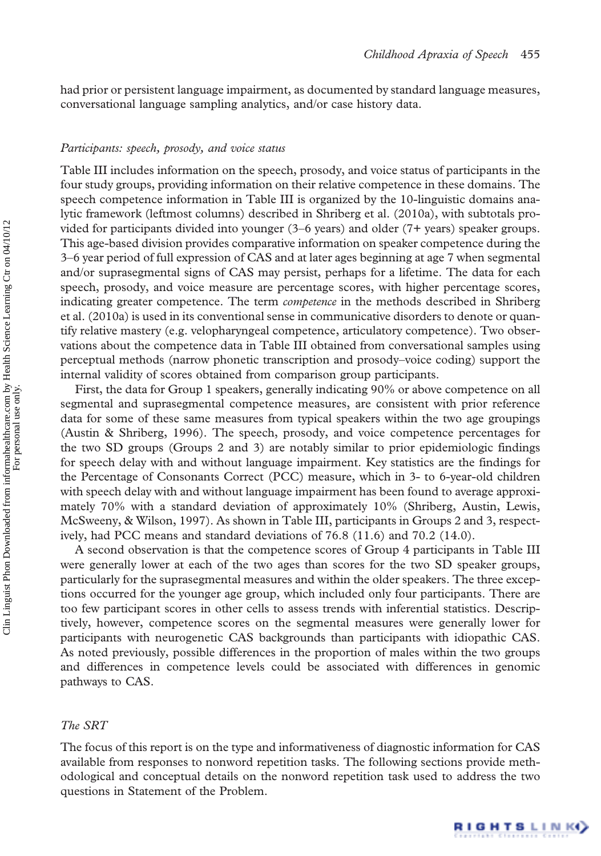had prior or persistent language impairment, as documented by standard language measures, conversational language sampling analytics, and/or case history data.

# Participants: speech, prosody, and voice status

Table III includes information on the speech, prosody, and voice status of participants in the four study groups, providing information on their relative competence in these domains. The speech competence information in Table III is organized by the 10-linguistic domains analytic framework (leftmost columns) described in Shriberg et al. (2010a), with subtotals provided for participants divided into younger (3–6 years) and older (7+ years) speaker groups. This age-based division provides comparative information on speaker competence during the 3–6 year period of full expression of CAS and at later ages beginning at age 7 when segmental and/or suprasegmental signs of CAS may persist, perhaps for a lifetime. The data for each speech, prosody, and voice measure are percentage scores, with higher percentage scores, indicating greater competence. The term *competence* in the methods described in Shriberg et al. (2010a) is used in its conventional sense in communicative disorders to denote or quantify relative mastery (e.g. velopharyngeal competence, articulatory competence). Two observations about the competence data in Table III obtained from conversational samples using perceptual methods (narrow phonetic transcription and prosody–voice coding) support the internal validity of scores obtained from comparison group participants.

First, the data for Group 1 speakers, generally indicating 90% or above competence on all segmental and suprasegmental competence measures, are consistent with prior reference data for some of these same measures from typical speakers within the two age groupings (Austin & Shriberg, 1996). The speech, prosody, and voice competence percentages for the two SD groups (Groups 2 and 3) are notably similar to prior epidemiologic findings for speech delay with and without language impairment. Key statistics are the findings for the Percentage of Consonants Correct (PCC) measure, which in 3- to 6-year-old children with speech delay with and without language impairment has been found to average approximately 70% with a standard deviation of approximately 10% (Shriberg, Austin, Lewis, McSweeny, & Wilson, 1997). As shown in Table III, participants in Groups 2 and 3, respectively, had PCC means and standard deviations of 76.8 (11.6) and 70.2 (14.0).

A second observation is that the competence scores of Group 4 participants in Table III were generally lower at each of the two ages than scores for the two SD speaker groups, particularly for the suprasegmental measures and within the older speakers. The three exceptions occurred for the younger age group, which included only four participants. There are too few participant scores in other cells to assess trends with inferential statistics. Descriptively, however, competence scores on the segmental measures were generally lower for participants with neurogenetic CAS backgrounds than participants with idiopathic CAS. As noted previously, possible differences in the proportion of males within the two groups and differences in competence levels could be associated with differences in genomic pathways to CAS.

# The SRT

The focus of this report is on the type and informativeness of diagnostic information for CAS available from responses to nonword repetition tasks. The following sections provide methodological and conceptual details on the nonword repetition task used to address the two questions in Statement of the Problem.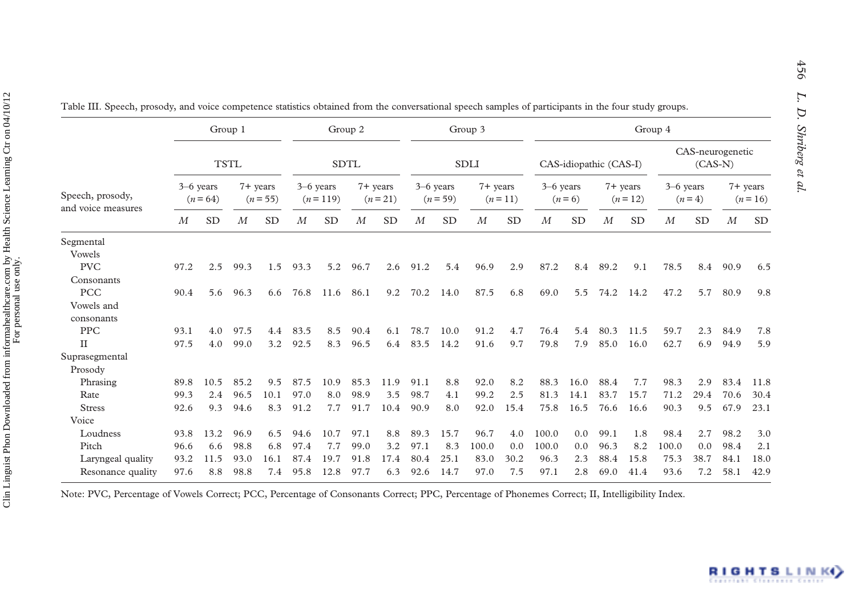|                                        |      |                           | Group 1     |                          |      |                          | Group 2     |                        |      |                         | Group 3          |           |             |           |                        |                        | Group 4          |           |                  |                        |
|----------------------------------------|------|---------------------------|-------------|--------------------------|------|--------------------------|-------------|------------------------|------|-------------------------|------------------|-----------|-------------|-----------|------------------------|------------------------|------------------|-----------|------------------|------------------------|
|                                        |      |                           | <b>TSTL</b> |                          |      |                          | <b>SDTL</b> |                        |      |                         | <b>SDLI</b>      |           |             |           | CAS-idiopathic (CAS-I) |                        |                  | $(CAS-N)$ | CAS-neurogenetic |                        |
| Speech, prosody,<br>and voice measures |      | $3-6$ years<br>$(n = 64)$ |             | $7+$ years<br>$(n = 55)$ |      | $3-6$ years<br>$(n=119)$ |             | $7+$ years<br>$(n=21)$ |      | $3-6$ years<br>$(n=59)$ | $7+$ years       | $(n=11)$  | $3-6$ years | $(n=6)$   |                        | $7+$ years<br>$(n=12)$ | $3-6$ years      | $(n=4)$   |                  | $7+$ years<br>$(n=16)$ |
|                                        | М    | <b>SD</b>                 | М           | <b>SD</b>                | М    | <b>SD</b>                | М           | <b>SD</b>              | М    | <b>SD</b>               | $\boldsymbol{M}$ | <b>SD</b> | М           | <b>SD</b> | $\boldsymbol{M}$       | <b>SD</b>              | $\boldsymbol{M}$ | <b>SD</b> | $\boldsymbol{M}$ | <b>SD</b>              |
| Segmental<br>Vowels                    |      |                           |             |                          |      |                          |             |                        |      |                         |                  |           |             |           |                        |                        |                  |           |                  |                        |
| <b>PVC</b>                             | 97.2 | 2.5                       | 99.3        | 1.5                      | 93.3 | 5.2                      | 96.7        | 2.6                    | 91.2 | 5.4                     | 96.9             | 2.9       | 87.2        | 8.4       | 89.2                   | 9.1                    | 78.5             | 8.4       | 90.9             | 6.5                    |
| Consonants                             |      |                           |             |                          |      |                          |             |                        |      |                         |                  |           |             |           |                        |                        |                  |           |                  |                        |
| <b>PCC</b>                             | 90.4 | 5.6                       | 96.3        | 6.6                      | 76.8 | 11.6                     | 86.1        | 9.2                    | 70.2 | 14.0                    | 87.5             | 6.8       | 69.0        | 5.5       | 74.2                   | 14.2                   | 47.2             | 5.7       | 80.9             | 9.8                    |
| Vowels and                             |      |                           |             |                          |      |                          |             |                        |      |                         |                  |           |             |           |                        |                        |                  |           |                  |                        |
| consonants                             |      |                           |             |                          |      |                          |             |                        |      |                         |                  |           |             |           |                        |                        |                  |           |                  |                        |
| <b>PPC</b>                             | 93.1 | 4.0                       | 97.5        | 4.4                      | 83.5 | 8.5                      | 90.4        | 6.1                    | 78.7 | 10.0                    | 91.2             | 4.7       | 76.4        | 5.4       | 80.3                   | 11.5                   | 59.7             | 2.3       | 84.9             | 7.8                    |
| $_{\rm II}$                            | 97.5 | 4.0                       | 99.0        | 3.2                      | 92.5 | 8.3                      | 96.5        | 6.4                    | 83.5 | 14.2                    | 91.6             | 9.7       | 79.8        | 7.9       | 85.0                   | 16.0                   | 62.7             | 6.9       | 94.9             | 5.9                    |
| Suprasegmental                         |      |                           |             |                          |      |                          |             |                        |      |                         |                  |           |             |           |                        |                        |                  |           |                  |                        |
| Prosody                                |      |                           |             |                          |      |                          |             |                        |      |                         |                  |           |             |           |                        |                        |                  |           |                  |                        |
| Phrasing                               | 89.8 | 10.5                      | 85.2        | 9.5                      | 87.5 | 10.9                     | 85.3        | 11.9                   | 91.1 | 8.8                     | 92.0             | 8.2       | 88.3        | 16.0      | 88.4                   | 7.7                    | 98.3             | 2.9       | 83.4             | 11.8                   |
| Rate                                   | 99.3 | 2.4                       | 96.5        | 10.1                     | 97.0 | 8.0                      | 98.9        | 3.5                    | 98.7 | 4.1                     | 99.2             | 2.5       | 81.3        | 14.1      | 83.7                   | 15.7                   | 71.2             | 29.4      | 70.6             | 30.4                   |
| <b>Stress</b>                          | 92.6 | 9.3                       | 94.6        | 8.3                      | 91.2 | 7.7                      | 91.7        | 10.4                   | 90.9 | 8.0                     | 92.0             | 15.4      | 75.8        | 16.5      | 76.6                   | 16.6                   | 90.3             | 9.5       | 67.9             | 23.1                   |
| Voice                                  |      |                           |             |                          |      |                          |             |                        |      |                         |                  |           |             |           |                        |                        |                  |           |                  |                        |
| Loudness                               | 93.8 | 13.2                      | 96.9        | 6.5                      | 94.6 | 10.7                     | 97.1        | 8.8                    | 89.3 | 15.7                    | 96.7             | 4.0       | 100.0       | 0.0       | 99.1                   | 1.8                    | 98.4             | 2.7       | 98.2             | 3.0                    |
| Pitch                                  | 96.6 | 6.6                       | 98.8        | 6.8                      | 97.4 | 7.7                      | 99.0        | 3.2                    | 97.1 | 8.3                     | 100.0            | 0.0       | 100.0       | 0.0       | 96.3                   | 8.2                    | 100.0            | 0.0       | 98.4             | 2.1                    |
| Laryngeal quality                      | 93.2 | 11.5                      | 93.0        | 16.1                     | 87.4 | 19.7                     | 91.8        | 17.4                   | 80.4 | 25.1                    | 83.0             | 30.2      | 96.3        | 2.3       | 88.4                   | 15.8                   | 75.3             | 38.7      | 84.1             | 18.0                   |
| Resonance quality                      | 97.6 | 8.8                       | 98.8        | 7.4                      | 95.8 | 12.8                     | 97.7        | 6.3                    | 92.6 | 14.7                    | 97.0             | 7.5       | 97.1        | 2.8       | 69.0                   | 41.4                   | 93.6             | 7.2       | 58.1             | 42.9                   |

Table III. Speech, prosody, and voice competence statistics obtained from the conversational speech samples of participants in the four study groups.

Note: PVC, Percentage of Vowels Correct; PCC, Percentage of Consonants Correct; PPC, Percentage of Phonemes Correct; II, Intelligibility Index.

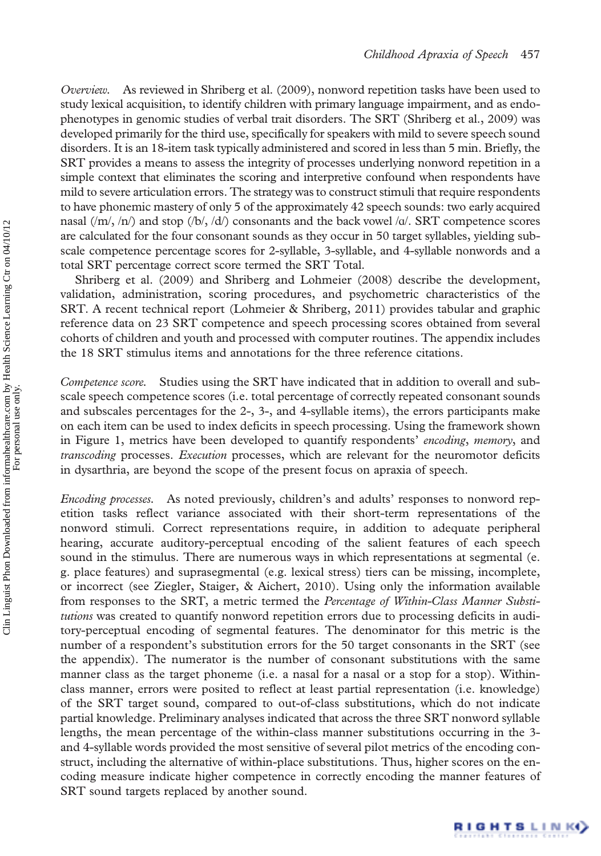Overview. As reviewed in Shriberg et al. (2009), nonword repetition tasks have been used to study lexical acquisition, to identify children with primary language impairment, and as endophenotypes in genomic studies of verbal trait disorders. The SRT (Shriberg et al., 2009) was developed primarily for the third use, specifically for speakers with mild to severe speech sound disorders. It is an 18-item task typically administered and scored in less than 5 min. Briefly, the SRT provides a means to assess the integrity of processes underlying nonword repetition in a simple context that eliminates the scoring and interpretive confound when respondents have mild to severe articulation errors. The strategy was to construct stimuli that require respondents to have phonemic mastery of only 5 of the approximately 42 speech sounds: two early acquired nasal  $\langle m \rangle$ ,  $\langle n \rangle$  and stop  $\langle b \rangle$ ,  $\langle d \rangle$  consonants and the back vowel  $\langle a \rangle$ . SRT competence scores are calculated for the four consonant sounds as they occur in 50 target syllables, yielding subscale competence percentage scores for 2-syllable, 3-syllable, and 4-syllable nonwords and a total SRT percentage correct score termed the SRT Total.

Shriberg et al. (2009) and Shriberg and Lohmeier (2008) describe the development, validation, administration, scoring procedures, and psychometric characteristics of the SRT. A recent technical report (Lohmeier & Shriberg, 2011) provides tabular and graphic reference data on 23 SRT competence and speech processing scores obtained from several cohorts of children and youth and processed with computer routines. The appendix includes the 18 SRT stimulus items and annotations for the three reference citations.

Competence score. Studies using the SRT have indicated that in addition to overall and subscale speech competence scores (i.e. total percentage of correctly repeated consonant sounds and subscales percentages for the 2-, 3-, and 4-syllable items), the errors participants make on each item can be used to index deficits in speech processing. Using the framework shown in Figure 1, metrics have been developed to quantify respondents' *encoding*, *memory*, and transcoding processes. Execution processes, which are relevant for the neuromotor deficits in dysarthria, are beyond the scope of the present focus on apraxia of speech.

Encoding processes. As noted previously, children's and adults' responses to nonword repetition tasks reflect variance associated with their short-term representations of the nonword stimuli. Correct representations require, in addition to adequate peripheral hearing, accurate auditory-perceptual encoding of the salient features of each speech sound in the stimulus. There are numerous ways in which representations at segmental (e. g. place features) and suprasegmental (e.g. lexical stress) tiers can be missing, incomplete, or incorrect (see Ziegler, Staiger, & Aichert, 2010). Using only the information available from responses to the SRT, a metric termed the *Percentage of Within-Class Manner Substi*tutions was created to quantify nonword repetition errors due to processing deficits in auditory-perceptual encoding of segmental features. The denominator for this metric is the number of a respondent's substitution errors for the 50 target consonants in the SRT (see the appendix). The numerator is the number of consonant substitutions with the same manner class as the target phoneme (i.e. a nasal for a nasal or a stop for a stop). Withinclass manner, errors were posited to reflect at least partial representation (i.e. knowledge) of the SRT target sound, compared to out-of-class substitutions, which do not indicate partial knowledge. Preliminary analyses indicated that across the three SRT nonword syllable lengths, the mean percentage of the within-class manner substitutions occurring in the 3 and 4-syllable words provided the most sensitive of several pilot metrics of the encoding construct, including the alternative of within-place substitutions. Thus, higher scores on the encoding measure indicate higher competence in correctly encoding the manner features of SRT sound targets replaced by another sound.

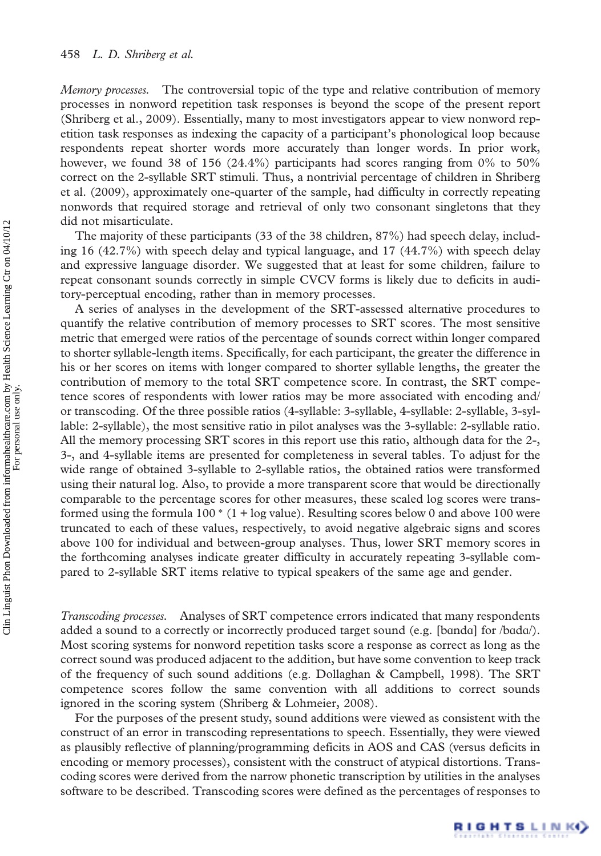Memory processes. The controversial topic of the type and relative contribution of memory processes in nonword repetition task responses is beyond the scope of the present report (Shriberg et al., 2009). Essentially, many to most investigators appear to view nonword repetition task responses as indexing the capacity of a participant's phonological loop because respondents repeat shorter words more accurately than longer words. In prior work, however, we found 38 of 156 (24.4%) participants had scores ranging from 0% to 50% correct on the 2-syllable SRT stimuli. Thus, a nontrivial percentage of children in Shriberg et al. (2009), approximately one-quarter of the sample, had difficulty in correctly repeating nonwords that required storage and retrieval of only two consonant singletons that they did not misarticulate.

The majority of these participants (33 of the 38 children, 87%) had speech delay, including 16 (42.7%) with speech delay and typical language, and 17 (44.7%) with speech delay and expressive language disorder. We suggested that at least for some children, failure to repeat consonant sounds correctly in simple CVCV forms is likely due to deficits in auditory-perceptual encoding, rather than in memory processes.

A series of analyses in the development of the SRT-assessed alternative procedures to quantify the relative contribution of memory processes to SRT scores. The most sensitive metric that emerged were ratios of the percentage of sounds correct within longer compared to shorter syllable-length items. Specifically, for each participant, the greater the difference in his or her scores on items with longer compared to shorter syllable lengths, the greater the contribution of memory to the total SRT competence score. In contrast, the SRT competence scores of respondents with lower ratios may be more associated with encoding and/ or transcoding. Of the three possible ratios (4-syllable: 3-syllable, 4-syllable: 2-syllable, 3-syllable: 2-syllable), the most sensitive ratio in pilot analyses was the 3-syllable: 2-syllable ratio. All the memory processing SRT scores in this report use this ratio, although data for the 2-, 3-, and 4-syllable items are presented for completeness in several tables. To adjust for the wide range of obtained 3-syllable to 2-syllable ratios, the obtained ratios were transformed using their natural log. Also, to provide a more transparent score that would be directionally comparable to the percentage scores for other measures, these scaled log scores were transformed using the formula  $100 * (1 + log value)$ . Resulting scores below 0 and above 100 were truncated to each of these values, respectively, to avoid negative algebraic signs and scores above 100 for individual and between-group analyses. Thus, lower SRT memory scores in the forthcoming analyses indicate greater difficulty in accurately repeating 3-syllable compared to 2-syllable SRT items relative to typical speakers of the same age and gender.

Transcoding processes. Analyses of SRT competence errors indicated that many respondents added a sound to a correctly or incorrectly produced target sound (e.g. [bɑndɑ] for /bɑdɑ/). Most scoring systems for nonword repetition tasks score a response as correct as long as the correct sound was produced adjacent to the addition, but have some convention to keep track of the frequency of such sound additions (e.g. Dollaghan & Campbell, 1998). The SRT competence scores follow the same convention with all additions to correct sounds ignored in the scoring system (Shriberg & Lohmeier, 2008).

For the purposes of the present study, sound additions were viewed as consistent with the construct of an error in transcoding representations to speech. Essentially, they were viewed as plausibly reflective of planning/programming deficits in AOS and CAS (versus deficits in encoding or memory processes), consistent with the construct of atypical distortions. Transcoding scores were derived from the narrow phonetic transcription by utilities in the analyses software to be described. Transcoding scores were defined as the percentages of responses to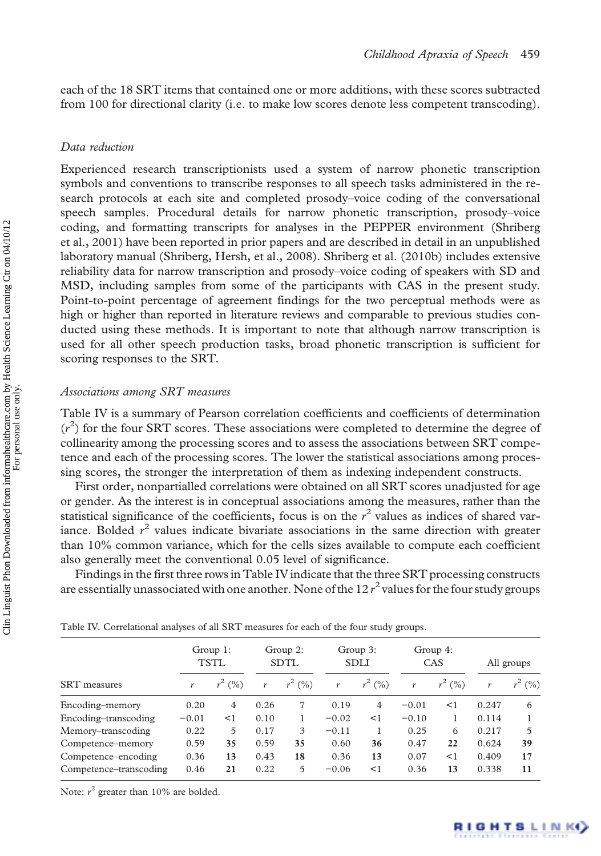each of the 18 SRT items that contained one or more additions, with these scores subtracted from 100 for directional clarity (i.e. to make low scores denote less competent transcoding).

# Data reduction

Experienced research transcriptionists used a system of narrow phonetic transcription symbols and conventions to transcribe responses to all speech tasks administered in the research protocols at each site and completed prosody–voice coding of the conversational speech samples. Procedural details for narrow phonetic transcription, prosody–voice coding, and formatting transcripts for analyses in the PEPPER environment (Shriberg et al., 2001) have been reported in prior papers and are described in detail in an unpublished laboratory manual (Shriberg, Hersh, et al., 2008). Shriberg et al. (2010b) includes extensive reliability data for narrow transcription and prosody–voice coding of speakers with SD and MSD, including samples from some of the participants with CAS in the present study. Point-to-point percentage of agreement findings for the two perceptual methods were as high or higher than reported in literature reviews and comparable to previous studies conducted using these methods. It is important to note that although narrow transcription is used for all other speech production tasks, broad phonetic transcription is sufficient for scoring responses to the SRT.

# Associations among SRT measures

Table IV is a summary of Pearson correlation coefficients and coefficients of determination  $(r<sup>2</sup>)$  for the four SRT scores. These associations were completed to determine the degree of collinearity among the processing scores and to assess the associations between SRT competence and each of the processing scores. The lower the statistical associations among processing scores, the stronger the interpretation of them as indexing independent constructs.

First order, nonpartialled correlations were obtained on all SRT scores unadjusted for age or gender. As the interest is in conceptual associations among the measures, rather than the statistical significance of the coefficients, focus is on the  $r^2$  values as indices of shared variance. Bolded  $r^2$  values indicate bivariate associations in the same direction with greater than 10% common variance, which for the cells sizes available to compute each coefficient also generally meet the conventional 0.05 level of significance.

Findings in the first three rows in Table IV indicate that the three SRT processing constructs are essentially unassociated with one another. None of the 12  $r^2$  values for the four study groups

|                        |         | Group $1$ :<br>TSTL |      | Group 2:<br>SDTL |         | Group 3:<br><b>SDLI</b> |         | Group $4$ :<br>CAS |       | All groups |
|------------------------|---------|---------------------|------|------------------|---------|-------------------------|---------|--------------------|-------|------------|
| <b>SRT</b> measures    |         | $r^2$<br>(% )       |      | $r^2(%)$         | r       | $r^2$ (%)               | r       | $r^2$ (%)          |       | $r^2 (%)$  |
| Encoding–memory        | 0.20    | 4                   | 0.26 | 7                | 0.19    | 4                       | $-0.01$ | $<$ 1              | 0.247 | 6          |
| Encoding-transcoding   | $-0.01$ | $<$ 1               | 0.10 |                  | $-0.02$ | <1                      | $-0.10$ |                    | 0.114 |            |
| Memory-transcoding     | 0.22    | 5                   | 0.17 | 3                | $-0.11$ |                         | 0.25    | 6                  | 0.217 | 5          |
| Competence–memory      | 0.59    | 35                  | 0.59 | 35               | 0.60    | 36                      | 0.47    | 22                 | 0.624 | 39         |
| Competence–encoding    | 0.36    | 13                  | 0.43 | 18               | 0.36    | 13                      | 0.07    | $<$ 1              | 0.409 | 17         |
| Competence–transcoding | 0.46    | 21                  | 0.22 | 5                | $-0.06$ | <1                      | 0.36    | 13                 | 0.338 | 11         |

Table IV. Correlational analyses of all SRT measures for each of the four study groups.

Note:  $r^2$  greater than 10% are bolded.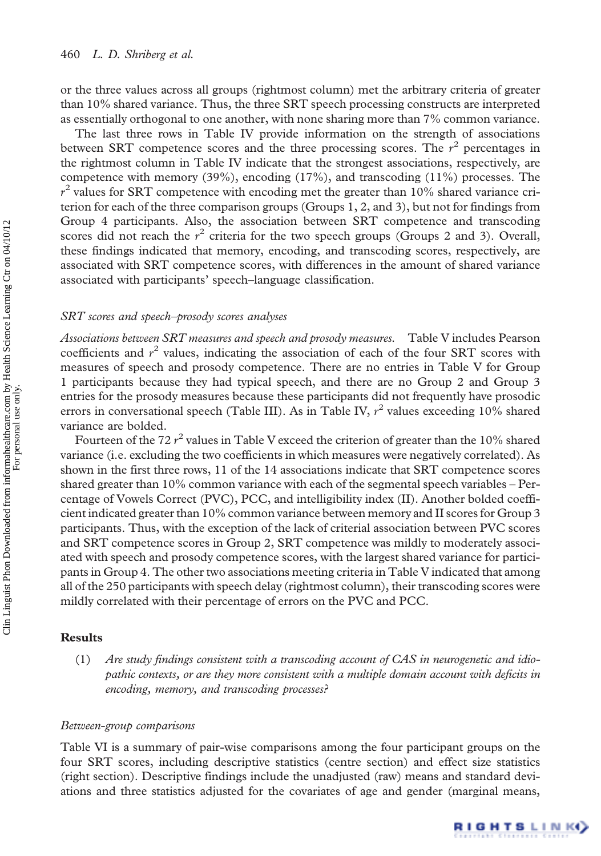or the three values across all groups (rightmost column) met the arbitrary criteria of greater than 10% shared variance. Thus, the three SRT speech processing constructs are interpreted as essentially orthogonal to one another, with none sharing more than 7% common variance.

The last three rows in Table IV provide information on the strength of associations between SRT competence scores and the three processing scores. The  $r^2$  percentages in the rightmost column in Table IV indicate that the strongest associations, respectively, are competence with memory (39%), encoding (17%), and transcoding (11%) processes. The  $r^2$  values for SRT competence with encoding met the greater than 10% shared variance criterion for each of the three comparison groups (Groups 1, 2, and 3), but not for findings from Group 4 participants. Also, the association between SRT competence and transcoding scores did not reach the  $r^2$  criteria for the two speech groups (Groups 2 and 3). Overall, these findings indicated that memory, encoding, and transcoding scores, respectively, are associated with SRT competence scores, with differences in the amount of shared variance associated with participants' speech–language classification.

### SRT scores and speech–prosody scores analyses

Associations between SRT measures and speech and prosody measures. Table V includes Pearson coefficients and  $r^2$  values, indicating the association of each of the four SRT scores with measures of speech and prosody competence. There are no entries in Table V for Group 1 participants because they had typical speech, and there are no Group 2 and Group 3 entries for the prosody measures because these participants did not frequently have prosodic errors in conversational speech (Table III). As in Table IV,  $r^2$  values exceeding 10% shared variance are bolded.

Fourteen of the 72  $r^2$  values in Table V exceed the criterion of greater than the 10% shared variance (i.e. excluding the two coefficients in which measures were negatively correlated). As shown in the first three rows, 11 of the 14 associations indicate that SRT competence scores shared greater than 10% common variance with each of the segmental speech variables – Percentage of Vowels Correct (PVC), PCC, and intelligibility index (II). Another bolded coefficient indicated greater than 10% common variance between memory and II scores for Group 3 participants. Thus, with the exception of the lack of criterial association between PVC scores and SRT competence scores in Group 2, SRT competence was mildly to moderately associated with speech and prosody competence scores, with the largest shared variance for participants in Group 4. The other two associations meeting criteria in Table V indicated that among all of the 250 participants with speech delay (rightmost column), their transcoding scores were mildly correlated with their percentage of errors on the PVC and PCC.

## **Results**

(1) Are study findings consistent with a transcoding account of CAS in neurogenetic and idiopathic contexts, or are they more consistent with a multiple domain account with deficits in encoding, memory, and transcoding processes?

#### Between-group comparisons

Table VI is a summary of pair-wise comparisons among the four participant groups on the four SRT scores, including descriptive statistics (centre section) and effect size statistics (right section). Descriptive findings include the unadjusted (raw) means and standard deviations and three statistics adjusted for the covariates of age and gender (marginal means,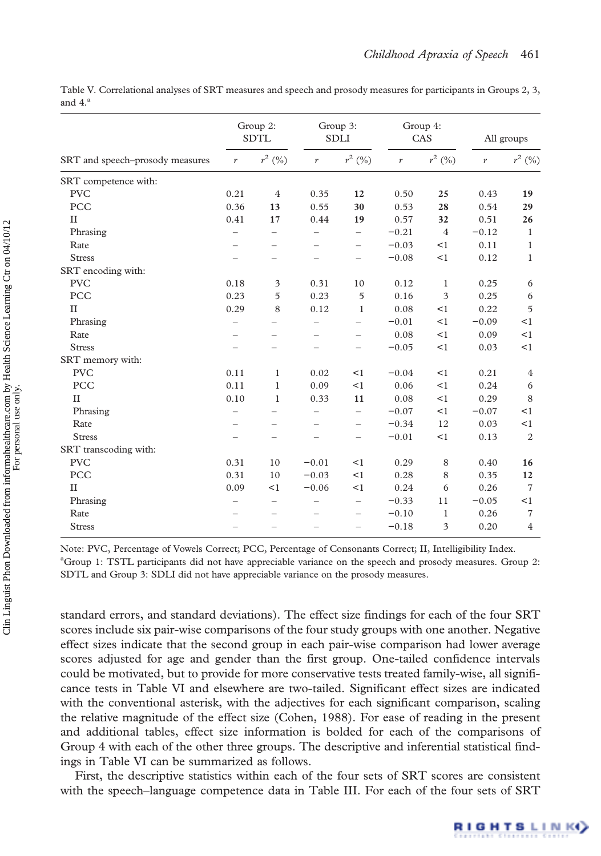|            |  |  |  | Table V. Correlational analyses of SRT measures and speech and prosody measures for participants in Groups 2, 3, |  |
|------------|--|--|--|------------------------------------------------------------------------------------------------------------------|--|
| and $4.^a$ |  |  |  |                                                                                                                  |  |

|                                 |                   | Group 2:<br><b>SDTL</b>  |                          | Group 3:<br><b>SDLI</b>  |                  | Group 4:<br>CAS         |         | All groups     |
|---------------------------------|-------------------|--------------------------|--------------------------|--------------------------|------------------|-------------------------|---------|----------------|
| SRT and speech-prosody measures | r                 | $r^2~(\%)$               | $\mathbf{r}$             | $r^2~(\%)$               | $\boldsymbol{r}$ | $r^2~(\%)$              | r       | $r^2$ (%)      |
| SRT competence with:            |                   |                          |                          |                          |                  |                         |         |                |
| <b>PVC</b>                      | 0.21              | $\overline{4}$           | 0.35                     | 12                       | 0.50             | 25                      | 0.43    | 19             |
| PCC                             | 0.36              | 13                       | 0.55                     | 30                       | 0.53             | 28                      | 0.54    | 29             |
| $\mathbf{I}$                    | 0.41              | 17                       | 0.44                     | 19                       | 0.57             | 32                      | 0.51    | 26             |
| Phrasing                        | $\qquad \qquad -$ | $\overline{\phantom{m}}$ |                          | $\overline{\phantom{0}}$ | $-0.21$          | $\overline{4}$          | $-0.12$ | $\mathbf{1}$   |
| Rate                            |                   | $\overline{\phantom{0}}$ |                          | $\overline{\phantom{0}}$ | $-0.03$          | <1                      | 0.11    | $\mathbf{1}$   |
| <b>Stress</b>                   |                   | $\equiv$                 | $\overline{\phantom{0}}$ | $\overline{\phantom{0}}$ | $-0.08$          | <1                      | 0.12    | $\mathbf{1}$   |
| SRT encoding with:              |                   |                          |                          |                          |                  |                         |         |                |
| <b>PVC</b>                      | 0.18              | 3                        | 0.31                     | 10                       | 0.12             | $\mathbf{1}$            | 0.25    | 6              |
| PCC                             | 0.23              | 5                        | 0.23                     | 5                        | 0.16             | $\overline{\mathbf{3}}$ | 0.25    | 6              |
| $\mathbf{I}$                    | 0.29              | 8                        | 0.12                     | $\mathbf{1}$             | 0.08             | <1                      | 0.22    | 5              |
| Phrasing                        | $\qquad \qquad -$ | $\qquad \qquad -$        |                          | $\overline{\phantom{0}}$ | $-0.01$          | <1                      | $-0.09$ | <1             |
| Rate                            |                   |                          |                          | $\overline{\phantom{0}}$ | 0.08             | <1                      | 0.09    | <1             |
| <b>Stress</b>                   |                   | $\overline{\phantom{0}}$ |                          | $\overline{\phantom{0}}$ | $-0.05$          | <1                      | 0.03    | <1             |
| SRT memory with:                |                   |                          |                          |                          |                  |                         |         |                |
| <b>PVC</b>                      | 0.11              | $\mathbf{1}$             | 0.02                     | <1                       | $-0.04$          | <1                      | 0.21    | $\overline{4}$ |
| PCC                             | 0.11              | $\mathbf{1}$             | 0.09                     | <1                       | 0.06             | <1                      | 0.24    | 6              |
| $\mathbf{I}$                    | 0.10              | $\mathbf{1}$             | 0.33                     | 11                       | 0.08             | <1                      | 0.29    | 8              |
| Phrasing                        | $\qquad \qquad -$ | $\overline{\phantom{0}}$ |                          | $\overline{\phantom{0}}$ | $-0.07$          | <1                      | $-0.07$ | <1             |
| Rate                            |                   | $\overline{\phantom{0}}$ |                          | $\overline{\phantom{0}}$ | $-0.34$          | 12                      | 0.03    | <1             |
| <b>Stress</b>                   |                   | $\overline{\phantom{0}}$ |                          | $\overline{\phantom{0}}$ | $-0.01$          | <1                      | 0.13    | $\overline{2}$ |
| SRT transcoding with:           |                   |                          |                          |                          |                  |                         |         |                |
| <b>PVC</b>                      | 0.31              | 10                       | $-0.01$                  | <1                       | 0.29             | 8                       | 0.40    | 16             |
| PCC                             | 0.31              | 10                       | $-0.03$                  | <1                       | 0.28             | 8                       | 0.35    | 12             |
| $\rm II$                        | 0.09              | <1                       | $-0.06$                  | <1                       | 0.24             | 6                       | 0.26    | 7              |
| Phrasing                        |                   | $\qquad \qquad -$        |                          | $\overline{\phantom{0}}$ | $-0.33$          | 11                      | $-0.05$ | <1             |
| Rate                            |                   |                          |                          |                          | $-0.10$          | $\mathbf{1}$            | 0.26    | 7              |
| <b>Stress</b>                   |                   |                          |                          | $\overline{\phantom{0}}$ | $-0.18$          | 3                       | 0.20    | $\overline{4}$ |

Note: PVC, Percentage of Vowels Correct; PCC, Percentage of Consonants Correct; II, Intelligibility Index. a Group 1: TSTL participants did not have appreciable variance on the speech and prosody measures. Group 2: SDTL and Group 3: SDLI did not have appreciable variance on the prosody measures.

standard errors, and standard deviations). The effect size findings for each of the four SRT scores include six pair-wise comparisons of the four study groups with one another. Negative effect sizes indicate that the second group in each pair-wise comparison had lower average scores adjusted for age and gender than the first group. One-tailed confidence intervals could be motivated, but to provide for more conservative tests treated family-wise, all significance tests in Table VI and elsewhere are two-tailed. Significant effect sizes are indicated with the conventional asterisk, with the adjectives for each significant comparison, scaling the relative magnitude of the effect size (Cohen, 1988). For ease of reading in the present and additional tables, effect size information is bolded for each of the comparisons of Group 4 with each of the other three groups. The descriptive and inferential statistical findings in Table VI can be summarized as follows.

First, the descriptive statistics within each of the four sets of SRT scores are consistent with the speech–language competence data in Table III. For each of the four sets of SRT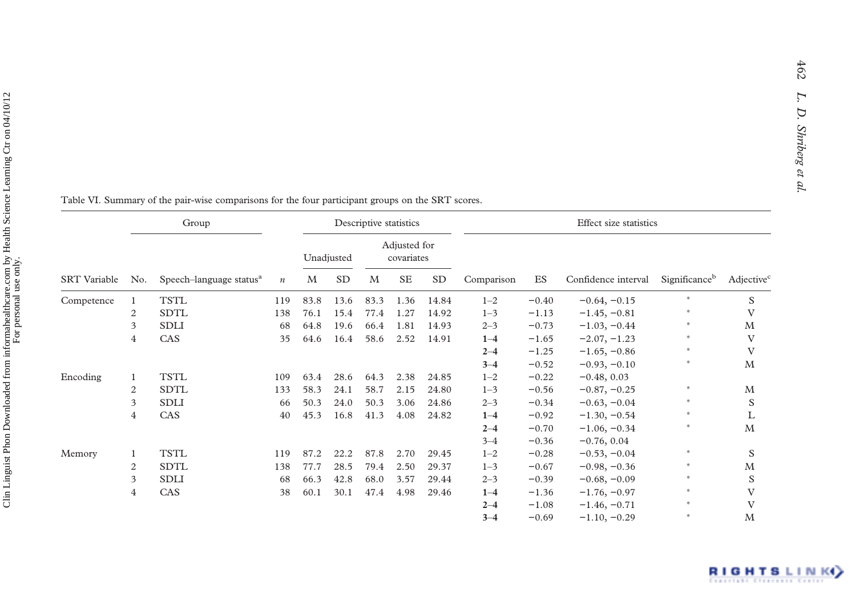|                     |     | Group                               |                  |              |            | Descriptive statistics |                            |       |            |           | Effect size statistics |                           |                        |
|---------------------|-----|-------------------------------------|------------------|--------------|------------|------------------------|----------------------------|-------|------------|-----------|------------------------|---------------------------|------------------------|
|                     |     |                                     |                  |              | Unadjusted |                        | Adjusted for<br>covariates |       |            |           |                        |                           |                        |
| <b>SRT</b> Variable | No. | Speech-language status <sup>a</sup> | $\boldsymbol{n}$ | $\mathbf{M}$ | <b>SD</b>  | M                      | <b>SE</b>                  | SD    | Comparison | <b>ES</b> | Confidence interval    | Significance <sup>b</sup> | Adjective <sup>c</sup> |
| Competence          |     | <b>TSTL</b>                         | 119              | 83.8         | 13.6       | 83.3                   | 1.36                       | 14.84 | $1 - 2$    | $-0.40$   | $-0.64, -0.15$         | $\ast$                    | S                      |
|                     | 2   | <b>SDTL</b>                         | 138              | 76.1         | 15.4       | 77.4                   | 1.27                       | 14.92 | $1 - 3$    | $-1.13$   | $-1.45, -0.81$         |                           | V                      |
|                     | 3   | <b>SDLI</b>                         | 68               | 64.8         | 19.6       | 66.4                   | 1.81                       | 14.93 | $2 - 3$    | $-0.73$   | $-1.03, -0.44$         |                           | M                      |
|                     | 4   | CAS                                 | 35               | 64.6         | 16.4       | 58.6                   | 2.52                       | 14.91 | $1 - 4$    | $-1.65$   | $-2.07, -1.23$         |                           | V                      |
|                     |     |                                     |                  |              |            |                        |                            |       | $2 - 4$    | $-1.25$   | $-1.65, -0.86$         | $*$                       | V                      |
|                     |     |                                     |                  |              |            |                        |                            |       | $3 - 4$    | $-0.52$   | $-0.93, -0.10$         |                           | M                      |
| Encoding            | 1   | <b>TSTL</b>                         | 109              | 63.4         | 28.6       | 64.3                   | 2.38                       | 24.85 | $1 - 2$    | $-0.22$   | $-0.48, 0.03$          |                           |                        |
|                     | 2   | <b>SDTL</b>                         | 133              | 58.3         | 24.1       | 58.7                   | 2.15                       | 24.80 | $1 - 3$    | $-0.56$   | $-0.87, -0.25$         | $*$                       | M                      |
|                     | 3   | <b>SDLI</b>                         | 66               | 50.3         | 24.0       | 50.3                   | 3.06                       | 24.86 | $2 - 3$    | $-0.34$   | $-0.63, -0.04$         | $*$                       | S                      |
|                     | 4   | CAS                                 | 40               | 45.3         | 16.8       | 41.3                   | 4.08                       | 24.82 | $1 - 4$    | $-0.92$   | $-1.30, -0.54$         | $\ast$                    | L                      |
|                     |     |                                     |                  |              |            |                        |                            |       | $2 - 4$    | $-0.70$   | $-1.06, -0.34$         |                           | M                      |
|                     |     |                                     |                  |              |            |                        |                            |       | $3 - 4$    | $-0.36$   | $-0.76, 0.04$          |                           |                        |
| Memory              | 1   | <b>TSTL</b>                         | 119              | 87.2         | 22.2       | 87.8                   | 2.70                       | 29.45 | $1 - 2$    | $-0.28$   | $-0.53, -0.04$         |                           | S                      |
|                     | 2   | <b>SDTL</b>                         | 138              | 77.7         | 28.5       | 79.4                   | 2.50                       | 29.37 | $1 - 3$    | $-0.67$   | $-0.98, -0.36$         | $*$                       | M                      |
|                     | 3   | <b>SDLI</b>                         | 68               | 66.3         | 42.8       | 68.0                   | 3.57                       | 29.44 | $2 - 3$    | $-0.39$   | $-0.68, -0.09$         |                           | S                      |
|                     | 4   | CAS                                 | 38               | 60.1         | 30.1       | 47.4                   | 4.98                       | 29.46 | $1 - 4$    | $-1.36$   | $-1.76, -0.97$         | $*$                       | V                      |
|                     |     |                                     |                  |              |            |                        |                            |       | $2 - 4$    | $-1.08$   | $-1.46, -0.71$         |                           | V                      |
|                     |     |                                     |                  |              |            |                        |                            |       | $3 - 4$    | $-0.69$   | $-1.10, -0.29$         | $\ast$                    | M                      |

Table VI. Summary of the pair-wise comparisons for the four participant groups on the SRT scores.

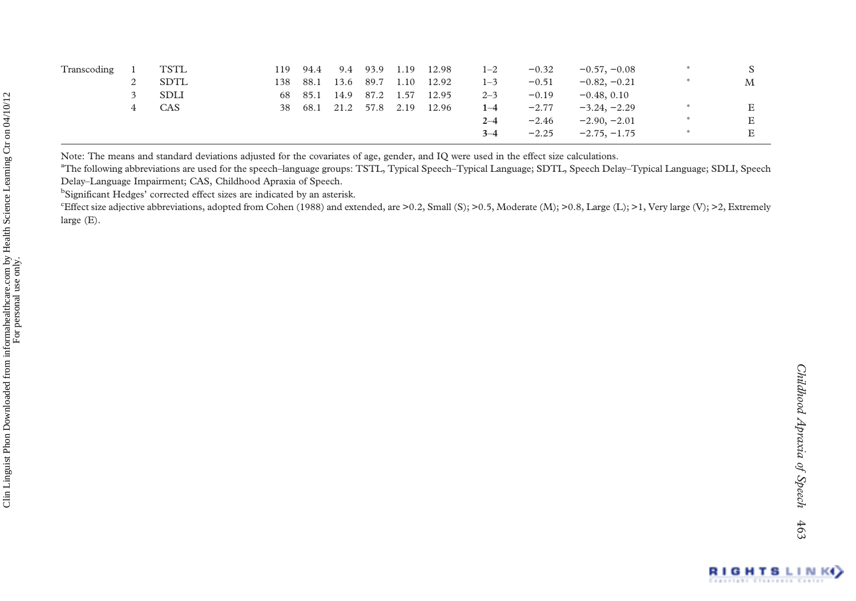| Transcoding |   | TSTL        | 119 | 94.4 | 9.4  | 93.9 | 1.19 | 12.98 | $1 - 2$ | $-0.32$ | $-0.57, -0.08$ | ∗   |   |
|-------------|---|-------------|-----|------|------|------|------|-------|---------|---------|----------------|-----|---|
|             | 2 | SDTL        | 138 | 88.1 | 13.6 | 89.7 | 1.10 | 12.92 | $1 - 3$ | $-0.51$ | $-0.82, -0.21$ |     | М |
|             |   | <b>SDLI</b> | 68  | 85.1 | 14.9 | 87.2 | 1.57 | 12.95 | $2 - 3$ | $-0.19$ | $-0.48, 0.10$  |     |   |
|             |   | CAS         | 38  | 68.1 | 21.2 | 57.8 | 2.19 | 12.96 | $1 - 4$ | $-2.77$ | $-3.24, -2.29$ | ∗   | E |
|             |   |             |     |      |      |      |      |       | $2 - 4$ | $-2.46$ | $-2.90, -2.01$ |     | Ε |
|             |   |             |     |      |      |      |      |       | $3 - 4$ | $-2.25$ | $-2.75, -1.75$ | $*$ |   |

Note: The means and standard deviations adjusted for the covariates of age, gender, and IQ were used in the effect size calculations.

<sup>a</sup>The following abbreviations are used for the speech-language groups: TSTL, Typical Speech-Typical Language; SDTL, Speech Delay-Typical Language; SDLI, Speech Delay–Language Impairment; CAS, Childhood Apraxia of Speech.

bSignificant Hedges' corrected effect sizes are indicated by an asterisk.

cEffect size adjective abbreviations, adopted from Cohen (1988) and extended, are >0.2, Small (S); >0.5, Moderate (M); >0.8, Large (L); >1, Very large (V); >2, Extremely large (E).

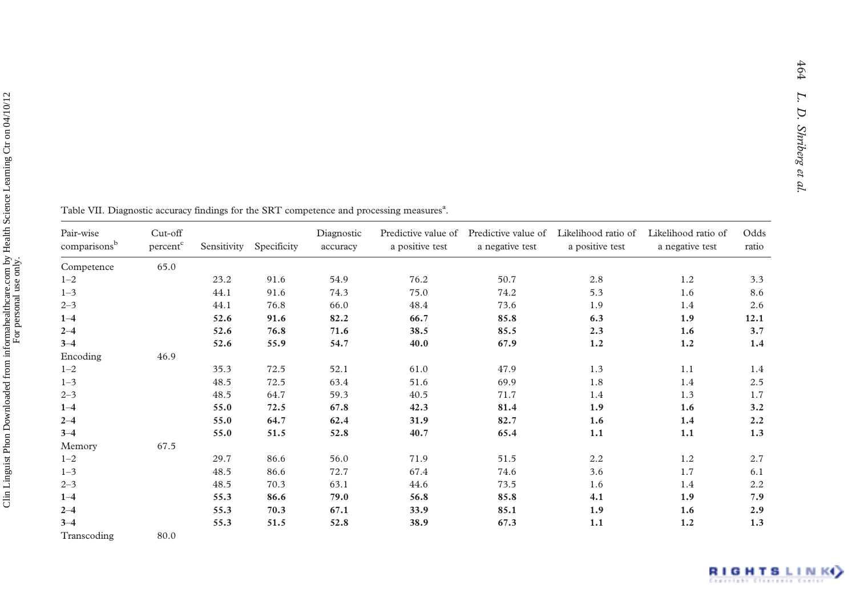| Clin Linguist Phon Downloaded from informahealthcare.com by Health Science Learning Ctr on 04/10/12<br>Pair-wise<br>comparisons <sup>b</sup><br>For personal use only.<br>Competence<br>$1-2$<br>$1-3$<br>$2-3$<br>$1-4$<br>$2-4$<br>$3 - 4$<br>Encoding<br>$1 - 2$<br>$1 - 3$<br>2-3<br>$1 - 4$<br>$2 - 4$<br>$3 - 4$<br>Memory<br>$1 - 2$<br>$1-3$<br>2-3<br>1-4<br>2-4<br>2-4<br>3-4 | Table VII. Diagnostic ac |             |
|-----------------------------------------------------------------------------------------------------------------------------------------------------------------------------------------------------------------------------------------------------------------------------------------------------------------------------------------------------------------------------------------|--------------------------|-------------|
|                                                                                                                                                                                                                                                                                                                                                                                         |                          | Cut<br>perc |
|                                                                                                                                                                                                                                                                                                                                                                                         |                          | 65<br>46    |
|                                                                                                                                                                                                                                                                                                                                                                                         |                          | 67          |

|  |  |  |  |  |  |  | Table VII. Diagnostic accuracy findings for the SRT competence and processing measures <sup>a</sup> . |  |
|--|--|--|--|--|--|--|-------------------------------------------------------------------------------------------------------|--|
|--|--|--|--|--|--|--|-------------------------------------------------------------------------------------------------------|--|

| Pair-wise<br>comparisons <sup>b</sup> | Cut-off<br>percent <sup>c</sup> | Sensitivity | Specificity | Diagnostic<br>accuracy | Predictive value of<br>a positive test | Predictive value of<br>a negative test | Likelihood ratio of<br>a positive test | Likelihood ratio of<br>a negative test | Odds<br>ratio |
|---------------------------------------|---------------------------------|-------------|-------------|------------------------|----------------------------------------|----------------------------------------|----------------------------------------|----------------------------------------|---------------|
| Competence                            | 65.0                            |             |             |                        |                                        |                                        |                                        |                                        |               |
| $1 - 2$                               |                                 | 23.2        | 91.6        | 54.9                   | 76.2                                   | 50.7                                   | 2.8                                    | 1.2                                    | 3.3           |
| $1 - 3$                               |                                 | 44.1        | 91.6        | 74.3                   | 75.0                                   | 74.2                                   | 5.3                                    | 1.6                                    | 8.6           |
| $2 - 3$                               |                                 | 44.1        | 76.8        | 66.0                   | 48.4                                   | 73.6                                   | 1.9                                    | 1.4                                    | 2.6           |
| $1 - 4$                               |                                 | 52.6        | 91.6        | 82.2                   | 66.7                                   | 85.8                                   | 6.3                                    | 1.9                                    | 12.1          |
| $2 - 4$                               |                                 | 52.6        | 76.8        | 71.6                   | 38.5                                   | 85.5                                   | 2.3                                    | 1.6                                    | 3.7           |
| $3 - 4$                               |                                 | 52.6        | 55.9        | 54.7                   | 40.0                                   | 67.9                                   | 1.2                                    | 1.2                                    | 1.4           |
| Encoding                              | 46.9                            |             |             |                        |                                        |                                        |                                        |                                        |               |
| $1 - 2$                               |                                 | 35.3        | 72.5        | 52.1                   | 61.0                                   | 47.9                                   | 1.3                                    | 1.1                                    | 1.4           |
| $1 - 3$                               |                                 | 48.5        | 72.5        | 63.4                   | 51.6                                   | 69.9                                   | 1.8                                    | 1.4                                    | 2.5           |
| $2 - 3$                               |                                 | 48.5        | 64.7        | 59.3                   | 40.5                                   | 71.7                                   | 1.4                                    | 1.3                                    | 1.7           |
| $1 - 4$                               |                                 | 55.0        | 72.5        | 67.8                   | 42.3                                   | 81.4                                   | 1.9                                    | 1.6                                    | 3.2           |
| $2 - 4$                               |                                 | 55.0        | 64.7        | 62.4                   | 31.9                                   | 82.7                                   | 1.6                                    | 1.4                                    | 2.2           |
| $3 - 4$                               |                                 | 55.0        | 51.5        | 52.8                   | 40.7                                   | 65.4                                   | 1.1                                    | 1.1                                    | 1.3           |
| Memory                                | 67.5                            |             |             |                        |                                        |                                        |                                        |                                        |               |
| $1 - 2$                               |                                 | 29.7        | 86.6        | 56.0                   | 71.9                                   | 51.5                                   | 2.2                                    | 1.2                                    | 2.7           |
| $1 - 3$                               |                                 | 48.5        | 86.6        | 72.7                   | 67.4                                   | 74.6                                   | 3.6                                    | 1.7                                    | 6.1           |
| $2 - 3$                               |                                 | 48.5        | 70.3        | 63.1                   | 44.6                                   | 73.5                                   | 1.6                                    | 1.4                                    | 2.2           |
| $1 - 4$                               |                                 | 55.3        | 86.6        | 79.0                   | 56.8                                   | 85.8                                   | 4.1                                    | 1.9                                    | 7.9           |
| $2 - 4$                               |                                 | 55.3        | 70.3        | 67.1                   | 33.9                                   | 85.1                                   | 1.9                                    | 1.6                                    | 2.9           |
| $3 - 4$                               |                                 | 55.3        | 51.5        | 52.8                   | 38.9                                   | 67.3                                   | 1.1                                    | 1.2                                    | 1.3           |
|                                       |                                 |             |             |                        |                                        |                                        |                                        |                                        |               |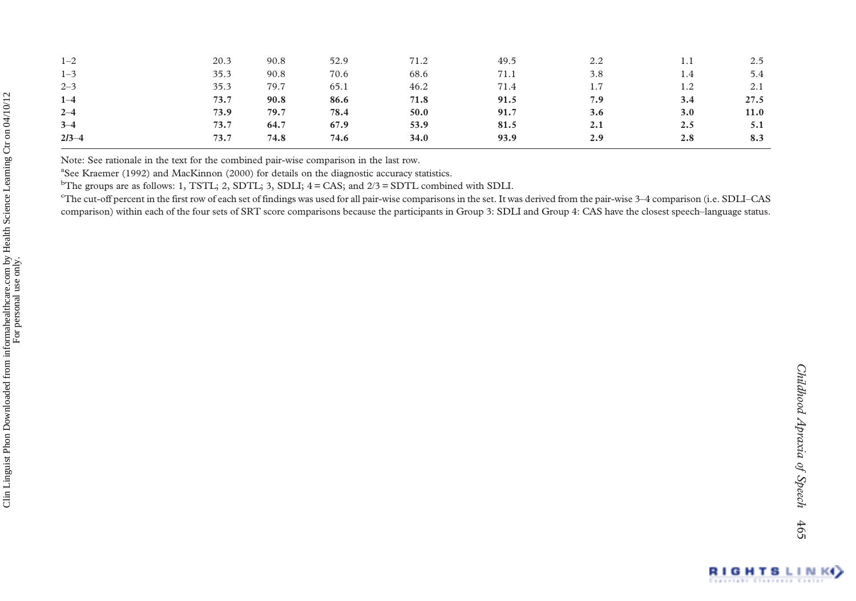| $1 - 2$   | 20.3 | 90.8 | 52.9 | 71.2 | 49.5 | 2.2 | 1.1 | 2.5  |
|-----------|------|------|------|------|------|-----|-----|------|
| $1 - 3$   | 35.3 | 90.8 | 70.6 | 68.6 | 71.1 | 3.8 | 1.4 | 5.4  |
| $2 - 3$   | 35.3 | 79.7 | 65.1 | 46.2 | 71.4 | 1.7 | 1.2 | 2.1  |
| $1 - 4$   | 73.7 | 90.8 | 86.6 | 71.8 | 91.5 | 7.9 | 3.4 | 27.5 |
| $2 - 4$   | 73.9 | 79.7 | 78.4 | 50.0 | 91.7 | 3.6 | 3.0 | 11.0 |
| $3 - 4$   | 73.7 | 64.7 | 67.9 | 53.9 | 81.5 | 2.1 | 2.5 | 5.1  |
| $2/3 - 4$ | 73.7 | 74.8 | 74.6 | 34.0 | 93.9 | 2.9 | 2.8 | 8.3  |

Note: See rationale in the text for the combined pair-wise comparison in the last row.

<sup>a</sup>See Kraemer (1992) and MacKinnon (2000) for details on the diagnostic accuracy statistics.

<sup>b</sup>The groups are as follows: 1, TSTL; 2, SDTL; 3, SDLI;  $4 = CAS$ ; and  $2/3 = SDTL$  combined with SDLI.

cThe cut-off percent in the first row of each set of findings was used for all pair-wise comparisons in the set. It was derived from the pair-wise 3–4 comparison (i.e. SDLI–CAS comparison) within each of the four sets of SRT score comparisons because the participants in Group 3: SDLI and Group 4: CAS have the closest speech–language status.

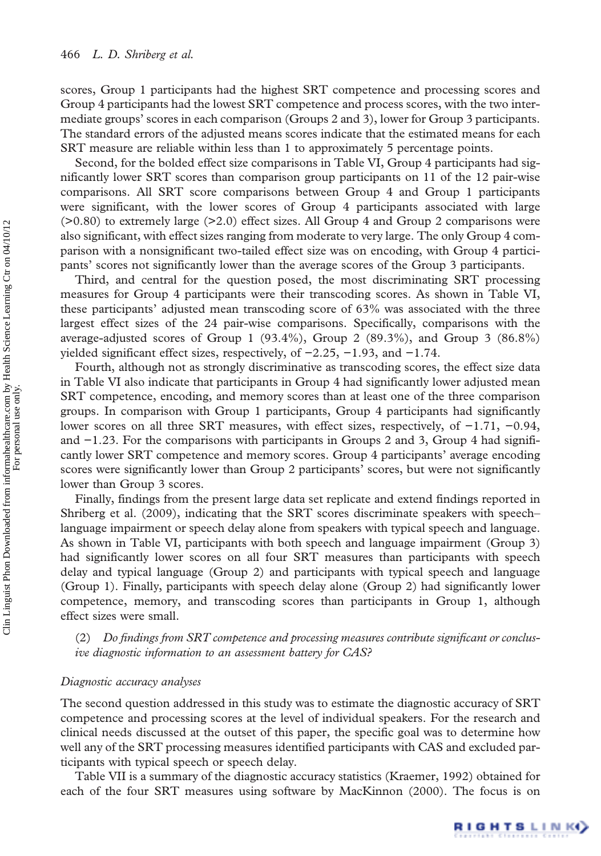scores, Group 1 participants had the highest SRT competence and processing scores and Group 4 participants had the lowest SRT competence and process scores, with the two intermediate groups' scores in each comparison (Groups 2 and 3), lower for Group 3 participants. The standard errors of the adjusted means scores indicate that the estimated means for each SRT measure are reliable within less than 1 to approximately 5 percentage points.

Second, for the bolded effect size comparisons in Table VI, Group 4 participants had significantly lower SRT scores than comparison group participants on 11 of the 12 pair-wise comparisons. All SRT score comparisons between Group 4 and Group 1 participants were significant, with the lower scores of Group 4 participants associated with large (>0.80) to extremely large (>2.0) effect sizes. All Group 4 and Group 2 comparisons were also significant, with effect sizes ranging from moderate to very large. The only Group 4 comparison with a nonsignificant two-tailed effect size was on encoding, with Group 4 participants' scores not significantly lower than the average scores of the Group 3 participants.

Third, and central for the question posed, the most discriminating SRT processing measures for Group 4 participants were their transcoding scores. As shown in Table VI, these participants' adjusted mean transcoding score of 63% was associated with the three largest effect sizes of the 24 pair-wise comparisons. Specifically, comparisons with the average-adjusted scores of Group 1 (93.4%), Group 2 (89.3%), and Group 3 (86.8%) yielded significant effect sizes, respectively, of −2.25, −1.93, and −1.74.

Fourth, although not as strongly discriminative as transcoding scores, the effect size data in Table VI also indicate that participants in Group 4 had significantly lower adjusted mean SRT competence, encoding, and memory scores than at least one of the three comparison groups. In comparison with Group 1 participants, Group 4 participants had significantly lower scores on all three SRT measures, with effect sizes, respectively, of −1.71, −0.94, and −1.23. For the comparisons with participants in Groups 2 and 3, Group 4 had significantly lower SRT competence and memory scores. Group 4 participants' average encoding scores were significantly lower than Group 2 participants' scores, but were not significantly lower than Group 3 scores.

Finally, findings from the present large data set replicate and extend findings reported in Shriberg et al. (2009), indicating that the SRT scores discriminate speakers with speech– language impairment or speech delay alone from speakers with typical speech and language. As shown in Table VI, participants with both speech and language impairment (Group 3) had significantly lower scores on all four SRT measures than participants with speech delay and typical language (Group 2) and participants with typical speech and language (Group 1). Finally, participants with speech delay alone (Group 2) had significantly lower competence, memory, and transcoding scores than participants in Group 1, although effect sizes were small.

(2) Do findings from SRT competence and processing measures contribute significant or conclusive diagnostic information to an assessment battery for CAS?

#### Diagnostic accuracy analyses

The second question addressed in this study was to estimate the diagnostic accuracy of SRT competence and processing scores at the level of individual speakers. For the research and clinical needs discussed at the outset of this paper, the specific goal was to determine how well any of the SRT processing measures identified participants with CAS and excluded participants with typical speech or speech delay.

Table VII is a summary of the diagnostic accuracy statistics (Kraemer, 1992) obtained for each of the four SRT measures using software by MacKinnon (2000). The focus is on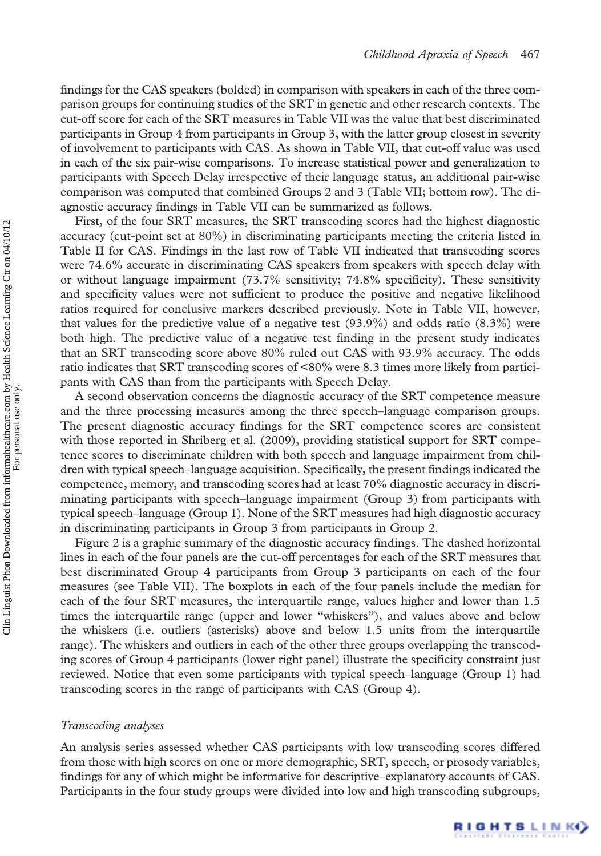findings for the CAS speakers (bolded) in comparison with speakers in each of the three comparison groups for continuing studies of the SRT in genetic and other research contexts. The cut-off score for each of the SRT measures in Table VII was the value that best discriminated participants in Group 4 from participants in Group 3, with the latter group closest in severity of involvement to participants with CAS. As shown in Table VII, that cut-off value was used in each of the six pair-wise comparisons. To increase statistical power and generalization to participants with Speech Delay irrespective of their language status, an additional pair-wise comparison was computed that combined Groups 2 and 3 (Table VII; bottom row). The diagnostic accuracy findings in Table VII can be summarized as follows.

First, of the four SRT measures, the SRT transcoding scores had the highest diagnostic accuracy (cut-point set at 80%) in discriminating participants meeting the criteria listed in Table II for CAS. Findings in the last row of Table VII indicated that transcoding scores were 74.6% accurate in discriminating CAS speakers from speakers with speech delay with or without language impairment (73.7% sensitivity; 74.8% specificity). These sensitivity and specificity values were not sufficient to produce the positive and negative likelihood ratios required for conclusive markers described previously. Note in Table VII, however, that values for the predictive value of a negative test  $(93.9%)$  and odds ratio  $(8.3%)$  were both high. The predictive value of a negative test finding in the present study indicates that an SRT transcoding score above 80% ruled out CAS with 93.9% accuracy. The odds ratio indicates that SRT transcoding scores of <80% were 8.3 times more likely from participants with CAS than from the participants with Speech Delay.

A second observation concerns the diagnostic accuracy of the SRT competence measure and the three processing measures among the three speech–language comparison groups. The present diagnostic accuracy findings for the SRT competence scores are consistent with those reported in Shriberg et al. (2009), providing statistical support for SRT competence scores to discriminate children with both speech and language impairment from children with typical speech–language acquisition. Specifically, the present findings indicated the competence, memory, and transcoding scores had at least 70% diagnostic accuracy in discriminating participants with speech–language impairment (Group 3) from participants with typical speech–language (Group 1). None of the SRT measures had high diagnostic accuracy in discriminating participants in Group 3 from participants in Group 2.

Figure 2 is a graphic summary of the diagnostic accuracy findings. The dashed horizontal lines in each of the four panels are the cut-off percentages for each of the SRT measures that best discriminated Group 4 participants from Group 3 participants on each of the four measures (see Table VII). The boxplots in each of the four panels include the median for each of the four SRT measures, the interquartile range, values higher and lower than 1.5 times the interquartile range (upper and lower "whiskers"), and values above and below the whiskers (i.e. outliers (asterisks) above and below 1.5 units from the interquartile range). The whiskers and outliers in each of the other three groups overlapping the transcoding scores of Group 4 participants (lower right panel) illustrate the specificity constraint just reviewed. Notice that even some participants with typical speech–language (Group 1) had transcoding scores in the range of participants with CAS (Group 4).

## Transcoding analyses

An analysis series assessed whether CAS participants with low transcoding scores differed from those with high scores on one or more demographic, SRT, speech, or prosody variables, findings for any of which might be informative for descriptive–explanatory accounts of CAS. Participants in the four study groups were divided into low and high transcoding subgroups,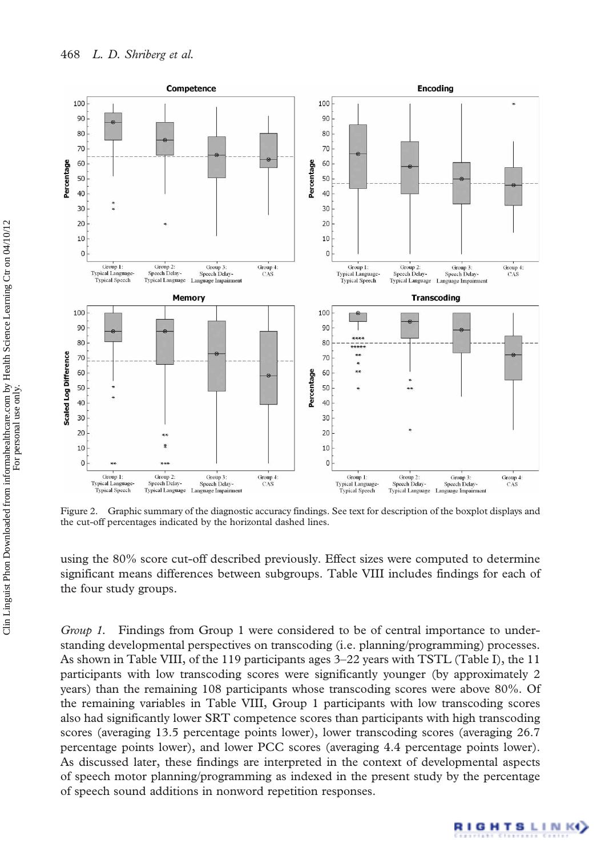

Figure 2. Graphic summary of the diagnostic accuracy findings. See text for description of the boxplot displays and the cut-off percentages indicated by the horizontal dashed lines.

using the 80% score cut-off described previously. Effect sizes were computed to determine significant means differences between subgroups. Table VIII includes findings for each of the four study groups.

Group 1. Findings from Group 1 were considered to be of central importance to understanding developmental perspectives on transcoding (i.e. planning/programming) processes. As shown in Table VIII, of the 119 participants ages 3–22 years with TSTL (Table I), the 11 participants with low transcoding scores were significantly younger (by approximately 2 years) than the remaining 108 participants whose transcoding scores were above 80%. Of the remaining variables in Table VIII, Group 1 participants with low transcoding scores also had significantly lower SRT competence scores than participants with high transcoding scores (averaging 13.5 percentage points lower), lower transcoding scores (averaging 26.7 percentage points lower), and lower PCC scores (averaging 4.4 percentage points lower). As discussed later, these findings are interpreted in the context of developmental aspects of speech motor planning/programming as indexed in the present study by the percentage of speech sound additions in nonword repetition responses.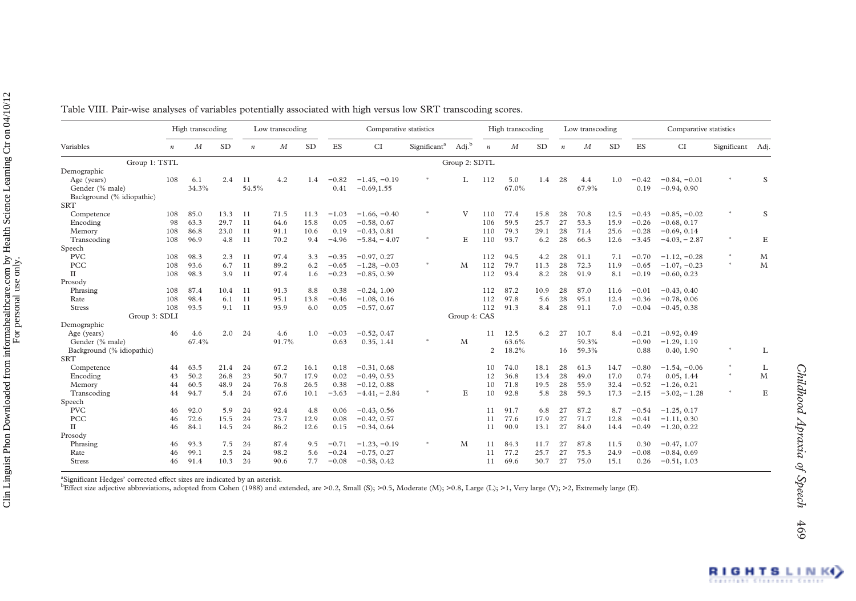|                           |                  | High transcoding |           |                  | Low transcoding |           |         | Comparative statistics |                          |                          |                  | High transcoding |           | Low transcoding  |       |           | Comparative statistics |                |                  |   |
|---------------------------|------------------|------------------|-----------|------------------|-----------------|-----------|---------|------------------------|--------------------------|--------------------------|------------------|------------------|-----------|------------------|-------|-----------|------------------------|----------------|------------------|---|
| Variables                 | $\boldsymbol{n}$ | М                | <b>SD</b> | $\boldsymbol{n}$ | М               | <b>SD</b> | ES      | CI                     | Significant <sup>a</sup> | $\text{Adj.}^{\text{b}}$ | $\boldsymbol{n}$ | $\boldsymbol{M}$ | <b>SD</b> | $\boldsymbol{n}$ | М     | <b>SD</b> | ES                     | CI             | Significant Adj. |   |
| Group 1: TSTL             |                  |                  |           |                  |                 |           |         |                        |                          | Group 2: SDTL            |                  |                  |           |                  |       |           |                        |                |                  |   |
| Demographic               |                  |                  |           |                  |                 |           |         |                        |                          |                          |                  |                  |           |                  |       |           |                        |                |                  |   |
| Age (years)               | 108              | 6.1              | 2.4       | 11               | 4.2             | 1.4       | $-0.82$ | $-1.45, -0.19$         |                          | L                        | 112              | 5.0              | 1.4       | 28               | 4.4   | 1.0       | $-0.42$                | $-0.84, -0.01$ |                  | S |
| Gender (% male)           |                  | 34.3%            |           | 54.5%            |                 |           | 0.41    | $-0.69, 1.55$          |                          |                          |                  | 67.0%            |           |                  | 67.9% |           | 0.19                   | $-0.94, 0.90$  |                  |   |
| Background (% idiopathic) |                  |                  |           |                  |                 |           |         |                        |                          |                          |                  |                  |           |                  |       |           |                        |                |                  |   |
| <b>SRT</b>                |                  |                  |           |                  |                 |           |         |                        |                          |                          |                  |                  |           |                  |       |           |                        |                |                  |   |
| Competence                | 108              | 85.0             | 13.3      | 11               | 71.5            | 11.3      | $-1.03$ | $-1.66, -0.40$         |                          | V                        | 110              | 77.4             | 15.8      | 28               | 70.8  | 12.5      | $-0.43$                | $-0.85, -0.02$ | $\ast$           | S |
| Encoding                  | 98               | 63.3             | 29.7      | 11               | 64.6            | 15.8      | 0.05    | $-0.58, 0.67$          |                          |                          | 106              | 59.5             | 25.7      | 27               | 53.3  | 15.9      | $-0.26$                | $-0.68, 0.17$  |                  |   |
| Memory                    | 108              | 86.8             | 23.0      | 11               | 91.1            | 10.6      | 0.19    | $-0.43, 0.81$          |                          |                          | 110              | 79.3             | 29.1      | 28               | 71.4  | 25.6      | $-0.28$                | $-0.69, 0.14$  |                  |   |
| Transcoding               | 108              | 96.9             | 4.8       | 11               | 70.2            | 9.4       | $-4.96$ | $-5.84, -4.07$         | $\ast$                   | Е                        | 110              | 93.7             | 6.2       | 28               | 66.3  | 12.6      | $-3.45$                | $-4.03, -2.87$ | $\ast$           | E |
| Speech                    |                  |                  |           |                  |                 |           |         |                        |                          |                          |                  |                  |           |                  |       |           |                        |                |                  |   |
| <b>PVC</b>                | 108              | 98.3             | 2.3       | 11               | 97.4            | 3.3       | $-0.35$ | $-0.97, 0.27$          |                          |                          | 112              | 94.5             | 4.2       | 28               | 91.1  | 7.1       | $-0.70$                | $-1.12, -0.28$ | $\ast$           | М |
| PCC                       | 108              | 93.6             | 6.7       | 11               | 89.2            | 6.2       | $-0.65$ | $-1.28, -0.03$         |                          | M                        | 112              | 79.7             | 11.3      | 28               | 72.3  | 11.9      | $-0.65$                | $-1.07, -0.23$ | $\ast$           | M |
| $\rm II$                  | 108              | 98.3             | 3.9       | 11               | 97.4            | 1.6       | $-0.23$ | $-0.85, 0.39$          |                          |                          | 112              | 93.4             | 8.2       | 28               | 91.9  | 8.1       | $-0.19$                | $-0.60, 0.23$  |                  |   |
| Prosody                   |                  |                  |           |                  |                 |           |         |                        |                          |                          |                  |                  |           |                  |       |           |                        |                |                  |   |
| Phrasing                  | 108              | 87.4             | 10.4      | -11              | 91.3            | 8.8       | 0.38    | $-0.24, 1.00$          |                          |                          | 112              | 87.2             | 10.9      | 28               | 87.0  | 11.6      | $-0.01$                | $-0.43, 0.40$  |                  |   |
| Rate                      | 108              | 98.4             | 6.1       | 11               | 95.1            | 13.8      | $-0.46$ | $-1.08, 0.16$          |                          |                          | 112              | 97.8             | 5.6       | 28               | 95.1  | 12.4      | $-0.36$                | $-0.78, 0.06$  |                  |   |
| <b>Stress</b>             | 108              | 93.5             | 9.1       | 11               | 93.9            | 6.0       | 0.05    | $-0.57, 0.67$          |                          |                          | 112              | 91.3             | 8.4       | 28               | 91.1  | 7.0       | $-0.04$                | $-0.45, 0.38$  |                  |   |
| Group 3: SDLI             |                  |                  |           |                  |                 |           |         |                        |                          | Group 4: CAS             |                  |                  |           |                  |       |           |                        |                |                  |   |
| Demographic               |                  |                  |           |                  |                 |           |         |                        |                          |                          |                  |                  |           |                  |       |           |                        |                |                  |   |
| Age (years)               | 46               | 4.6              | 2.0       | 24               | 4.6             | 1.0       | $-0.03$ | $-0.52, 0.47$          |                          |                          | 11               | 12.5             | 6.2       | 27               | 10.7  | 8.4       | $-0.21$                | $-0.92, 0.49$  |                  |   |
| Gender (% male)           |                  | 67.4%            |           |                  | 91.7%           |           | 0.63    | 0.35, 1.41             | $\ast$                   | M                        |                  | 63.6%            |           |                  | 59.3% |           | $-0.90$                | $-1.29, 1.19$  |                  |   |
| Background (% idiopathic) |                  |                  |           |                  |                 |           |         |                        |                          |                          | $\overline{2}$   | 18.2%            |           | 16               | 59.3% |           | 0.88                   | 0.40, 1.90     | $\ast$           | L |
| <b>SRT</b>                |                  |                  |           |                  |                 |           |         |                        |                          |                          |                  |                  |           |                  |       |           |                        |                |                  |   |
| Competence                | 44               | 63.5             | 21.4      | 24               | 67.2            | 16.1      | 0.18    | $-0.31, 0.68$          |                          |                          | 10               | 74.0             | 18.1      | 28               | 61.3  | 14.7      | $-0.80$                | $-1.54, -0.06$ | $\ast$           | L |
| Encoding                  | 43               | 50.2             | 26.8      | 23               | 50.7            | 17.9      | 0.02    | $-0.49, 0.53$          |                          |                          | 12               | 36.8             | 13.4      | 28               | 49.0  | 17.0      | 0.74                   | 0.05, 1.44     | $\ast$           | M |
| Memory                    | 44               | 60.5             | 48.9      | 24               | 76.8            | 26.5      | 0.38    | $-0.12, 0.88$          |                          |                          | 10               | 71.8             | 19.5      | 28               | 55.9  | 32.4      | $-0.52$                | $-1.26, 0.21$  |                  |   |
| Transcoding               | 44               | 94.7             | 5.4       | 24               | 67.6            | 10.1      | $-3.63$ | $-4.41, -2.84$         | $\ast$                   | E                        | 10               | 92.8             | 5.8       | 28               | 59.3  | 17.3      | $-2.15$                | $-3.02, -1.28$ | $\ast$           | E |
| Speech                    |                  |                  |           |                  |                 |           |         |                        |                          |                          |                  |                  |           |                  |       |           |                        |                |                  |   |
| <b>PVC</b>                | 46               | 92.0             | 5.9       | 24               | 92.4            | 4.8       | 0.06    | $-0.43, 0.56$          |                          |                          | 11               | 91.7             | 6.8       | 27               | 87.2  | 8.7       | $-0.54$                | $-1.25, 0.17$  |                  |   |
| PCC                       | 46               | 72.6             | 15.5      | 24               | 73.7            | 12.9      | 0.08    | $-0.42, 0.57$          |                          |                          | 11               | 77.6             | 17.9      | 27               | 71.7  | 12.8      | $-0.41$                | $-1.11, 0.30$  |                  |   |
| $_{\rm II}$               | 46               | 84.1             | 14.5      | 24               | 86.2            | 12.6      | 0.15    | $-0.34, 0.64$          |                          |                          | 11               | 90.9             | 13.1      | 27               | 84.0  | 14.4      | $-0.49$                | $-1.20, 0.22$  |                  |   |
| Prosody                   |                  |                  |           |                  |                 |           |         |                        |                          |                          |                  |                  |           |                  |       |           |                        |                |                  |   |
| Phrasing                  | 46               | 93.3             | 7.5       | 24               | 87.4            | 9.5       | $-0.71$ | $-1.23, -0.19$         |                          | M                        | 11               | 84.3             | 11.7      | 27               | 87.8  | 11.5      | 0.30                   | $-0.47, 1.07$  |                  |   |
| Rate                      | 46               | 99.1             | 2.5       | 24               | 98.2            | 5.6       | $-0.24$ | $-0.75, 0.27$          |                          |                          | 11               | 77.2             | 25.7      | 27               | 75.3  | 24.9      | $-0.08$                | $-0.84, 0.69$  |                  |   |
| <b>Stress</b>             | 46               | 91.4             | 10.3      | 24               | 90.6            | 7.7       | $-0.08$ | $-0.58, 0.42$          |                          |                          | 11               | 69.6             | 30.7      | 27               | 75.0  | 15.1      | 0.26                   | $-0.51, 1.03$  |                  |   |

Table VIII. Pair-wise analyses of variables potentially associated with high versus low SRT transcoding scores.

<sup>a</sup>Significant Hedges' corrected effect sizes are indicated by an asterisk.

<sup>b</sup>Effect size adjective abbreviations, adopted from Cohen (1988) and extended, are >0.2, Small (S); >0.5, Moderate (M); >0.8, Large (L); >1, Very large (V); >2, Extremely large (E).

RIGHTS LINKY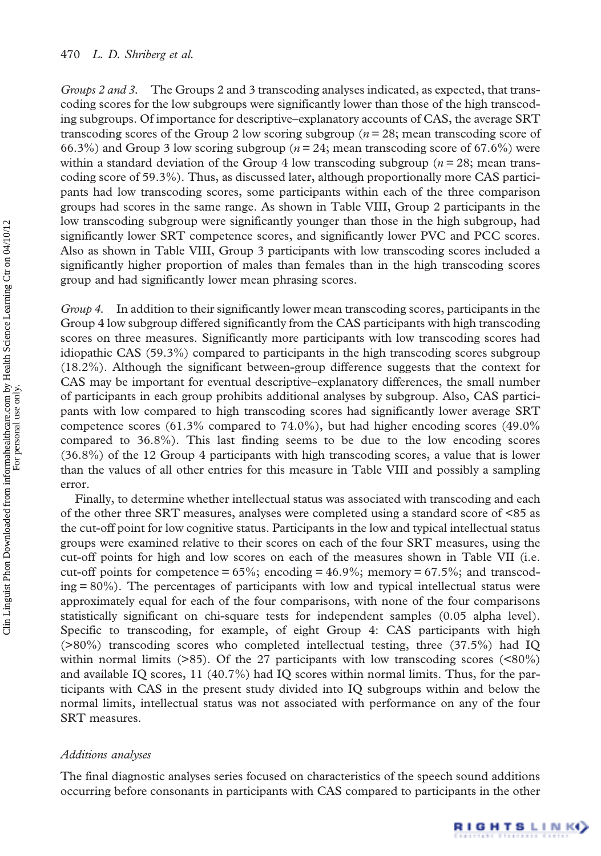Groups 2 and 3. The Groups 2 and 3 transcoding analyses indicated, as expected, that transcoding scores for the low subgroups were significantly lower than those of the high transcoding subgroups. Of importance for descriptive–explanatory accounts of CAS, the average SRT transcoding scores of the Group 2 low scoring subgroup ( $n = 28$ ; mean transcoding score of 66.3%) and Group 3 low scoring subgroup ( $n = 24$ ; mean transcoding score of 67.6%) were within a standard deviation of the Group 4 low transcoding subgroup ( $n = 28$ ; mean transcoding score of 59.3%). Thus, as discussed later, although proportionally more CAS participants had low transcoding scores, some participants within each of the three comparison groups had scores in the same range. As shown in Table VIII, Group 2 participants in the low transcoding subgroup were significantly younger than those in the high subgroup, had significantly lower SRT competence scores, and significantly lower PVC and PCC scores. Also as shown in Table VIII, Group 3 participants with low transcoding scores included a significantly higher proportion of males than females than in the high transcoding scores group and had significantly lower mean phrasing scores.

Group 4. In addition to their significantly lower mean transcoding scores, participants in the Group 4 low subgroup differed significantly from the CAS participants with high transcoding scores on three measures. Significantly more participants with low transcoding scores had idiopathic CAS (59.3%) compared to participants in the high transcoding scores subgroup (18.2%). Although the significant between-group difference suggests that the context for CAS may be important for eventual descriptive–explanatory differences, the small number of participants in each group prohibits additional analyses by subgroup. Also, CAS participants with low compared to high transcoding scores had significantly lower average SRT competence scores (61.3% compared to 74.0%), but had higher encoding scores (49.0% compared to 36.8%). This last finding seems to be due to the low encoding scores (36.8%) of the 12 Group 4 participants with high transcoding scores, a value that is lower than the values of all other entries for this measure in Table VIII and possibly a sampling error.

Finally, to determine whether intellectual status was associated with transcoding and each of the other three SRT measures, analyses were completed using a standard score of <85 as the cut-off point for low cognitive status. Participants in the low and typical intellectual status groups were examined relative to their scores on each of the four SRT measures, using the cut-off points for high and low scores on each of the measures shown in Table VII (i.e. cut-off points for competence =  $65\%$ ; encoding =  $46.9\%$ ; memory =  $67.5\%$ ; and transcoding = 80%). The percentages of participants with low and typical intellectual status were approximately equal for each of the four comparisons, with none of the four comparisons statistically significant on chi-square tests for independent samples (0.05 alpha level). Specific to transcoding, for example, of eight Group 4: CAS participants with high (>80%) transcoding scores who completed intellectual testing, three (37.5%) had IQ within normal limits  $($ >85). Of the 27 participants with low transcoding scores  $($ <80%) and available IQ scores, 11 (40.7%) had IQ scores within normal limits. Thus, for the participants with CAS in the present study divided into IQ subgroups within and below the normal limits, intellectual status was not associated with performance on any of the four SRT measures.

#### Additions analyses

The final diagnostic analyses series focused on characteristics of the speech sound additions occurring before consonants in participants with CAS compared to participants in the other

RIGHTSLINK()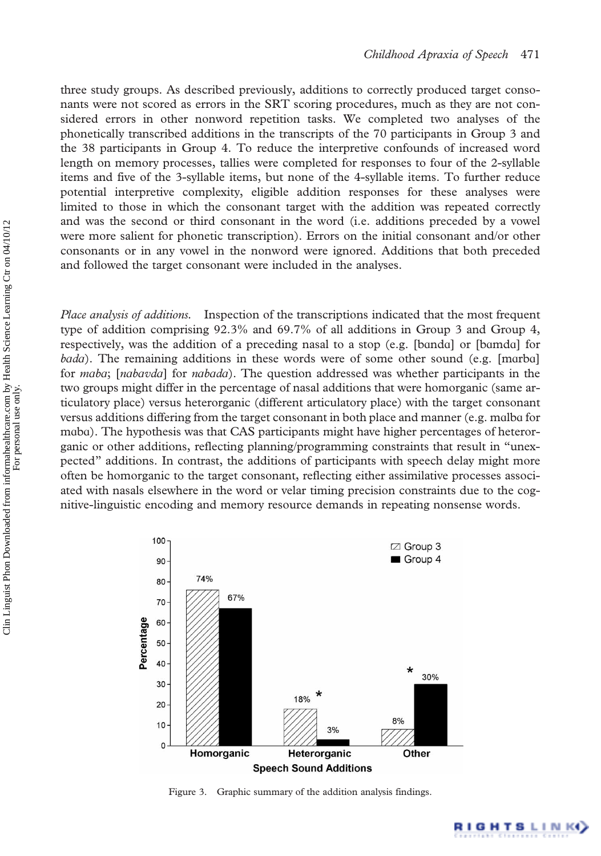RIGHTS LINK()

three study groups. As described previously, additions to correctly produced target consonants were not scored as errors in the SRT scoring procedures, much as they are not considered errors in other nonword repetition tasks. We completed two analyses of the phonetically transcribed additions in the transcripts of the 70 participants in Group 3 and the 38 participants in Group 4. To reduce the interpretive confounds of increased word length on memory processes, tallies were completed for responses to four of the 2-syllable items and five of the 3-syllable items, but none of the 4-syllable items. To further reduce potential interpretive complexity, eligible addition responses for these analyses were limited to those in which the consonant target with the addition was repeated correctly and was the second or third consonant in the word (i.e. additions preceded by a vowel were more salient for phonetic transcription). Errors on the initial consonant and/or other consonants or in any vowel in the nonword were ignored. Additions that both preceded and followed the target consonant were included in the analyses.

Place analysis of additions. Inspection of the transcriptions indicated that the most frequent type of addition comprising 92.3% and 69.7% of all additions in Group 3 and Group 4, respectively, was the addition of a preceding nasal to a stop (e.g. [bɑndɑ] or [bɑmdɑ] for bada). The remaining additions in these words were of some other sound (e.g. [marba] for maba; [nabavda] for nabada). The question addressed was whether participants in the two groups might differ in the percentage of nasal additions that were homorganic (same articulatory place) versus heterorganic (different articulatory place) with the target consonant versus additions differing from the target consonant in both place and manner (e.g. mɑlbɑ for maba). The hypothesis was that CAS participants might have higher percentages of heterorganic or other additions, reflecting planning/programming constraints that result in "unexpected" additions. In contrast, the additions of participants with speech delay might more often be homorganic to the target consonant, reflecting either assimilative processes associated with nasals elsewhere in the word or velar timing precision constraints due to the cognitive-linguistic encoding and memory resource demands in repeating nonsense words.



Figure 3. Graphic summary of the addition analysis findings.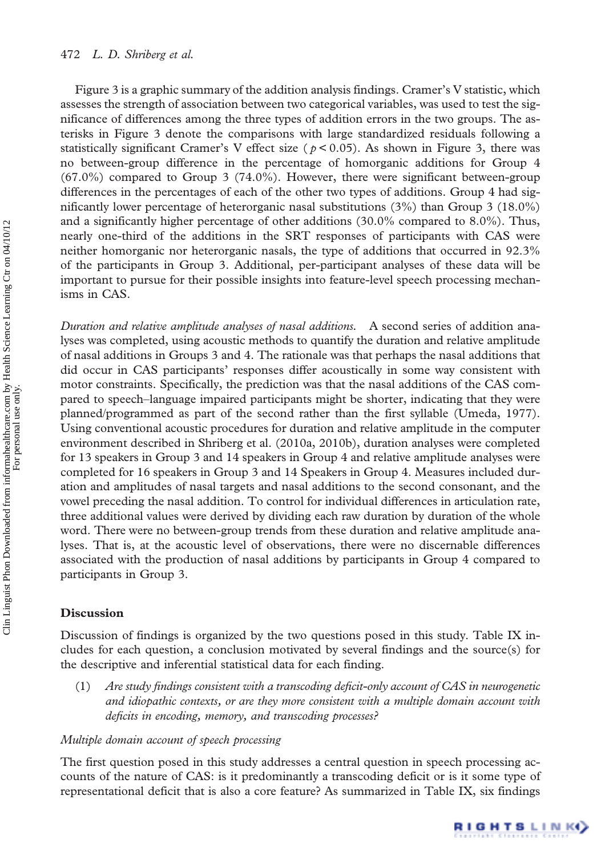Figure 3 is a graphic summary of the addition analysis findings. Cramer's V statistic, which assesses the strength of association between two categorical variables, was used to test the significance of differences among the three types of addition errors in the two groups. The asterisks in Figure 3 denote the comparisons with large standardized residuals following a statistically significant Cramer's V effect size ( $p < 0.05$ ). As shown in Figure 3, there was no between-group difference in the percentage of homorganic additions for Group 4 (67.0%) compared to Group 3 (74.0%). However, there were significant between-group differences in the percentages of each of the other two types of additions. Group 4 had significantly lower percentage of heterorganic nasal substitutions (3%) than Group 3 (18.0%) and a significantly higher percentage of other additions (30.0% compared to 8.0%). Thus, nearly one-third of the additions in the SRT responses of participants with CAS were neither homorganic nor heterorganic nasals, the type of additions that occurred in 92.3% of the participants in Group 3. Additional, per-participant analyses of these data will be important to pursue for their possible insights into feature-level speech processing mechanisms in CAS.

Duration and relative amplitude analyses of nasal additions. A second series of addition analyses was completed, using acoustic methods to quantify the duration and relative amplitude of nasal additions in Groups 3 and 4. The rationale was that perhaps the nasal additions that did occur in CAS participants' responses differ acoustically in some way consistent with motor constraints. Specifically, the prediction was that the nasal additions of the CAS compared to speech–language impaired participants might be shorter, indicating that they were planned/programmed as part of the second rather than the first syllable (Umeda, 1977). Using conventional acoustic procedures for duration and relative amplitude in the computer environment described in Shriberg et al. (2010a, 2010b), duration analyses were completed for 13 speakers in Group 3 and 14 speakers in Group 4 and relative amplitude analyses were completed for 16 speakers in Group 3 and 14 Speakers in Group 4. Measures included duration and amplitudes of nasal targets and nasal additions to the second consonant, and the vowel preceding the nasal addition. To control for individual differences in articulation rate, three additional values were derived by dividing each raw duration by duration of the whole word. There were no between-group trends from these duration and relative amplitude analyses. That is, at the acoustic level of observations, there were no discernable differences associated with the production of nasal additions by participants in Group 4 compared to participants in Group 3.

## **Discussion**

Discussion of findings is organized by the two questions posed in this study. Table IX includes for each question, a conclusion motivated by several findings and the source(s) for the descriptive and inferential statistical data for each finding.

(1) Are study findings consistent with a transcoding deficit-only account of CAS in neurogenetic and idiopathic contexts, or are they more consistent with a multiple domain account with deficits in encoding, memory, and transcoding processes?

# Multiple domain account of speech processing

The first question posed in this study addresses a central question in speech processing accounts of the nature of CAS: is it predominantly a transcoding deficit or is it some type of representational deficit that is also a core feature? As summarized in Table IX, six findings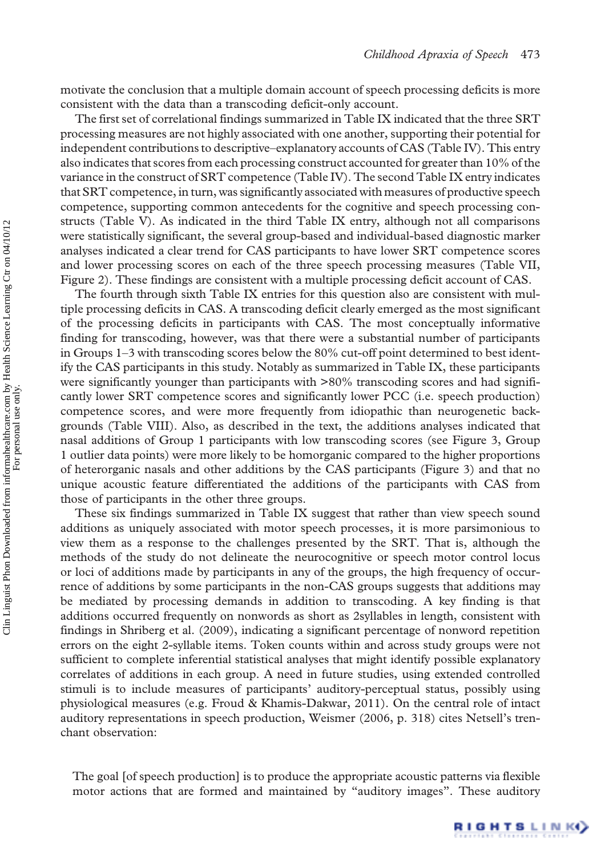motivate the conclusion that a multiple domain account of speech processing deficits is more consistent with the data than a transcoding deficit-only account.

The first set of correlational findings summarized in Table IX indicated that the three SRT processing measures are not highly associated with one another, supporting their potential for independent contributions to descriptive–explanatory accounts of CAS (Table IV). This entry also indicates that scores from each processing construct accounted for greater than 10% of the variance in the construct of SRT competence (Table IV). The second Table IX entry indicates that SRT competence, in turn, was significantly associated with measures of productive speech competence, supporting common antecedents for the cognitive and speech processing constructs (Table V). As indicated in the third Table IX entry, although not all comparisons were statistically significant, the several group-based and individual-based diagnostic marker analyses indicated a clear trend for CAS participants to have lower SRT competence scores and lower processing scores on each of the three speech processing measures (Table VII, Figure 2). These findings are consistent with a multiple processing deficit account of CAS.

The fourth through sixth Table IX entries for this question also are consistent with multiple processing deficits in CAS. A transcoding deficit clearly emerged as the most significant of the processing deficits in participants with CAS. The most conceptually informative finding for transcoding, however, was that there were a substantial number of participants in Groups 1–3 with transcoding scores below the 80% cut-off point determined to best identify the CAS participants in this study. Notably as summarized in Table IX, these participants were significantly younger than participants with >80% transcoding scores and had significantly lower SRT competence scores and significantly lower PCC (i.e. speech production) competence scores, and were more frequently from idiopathic than neurogenetic backgrounds (Table VIII). Also, as described in the text, the additions analyses indicated that nasal additions of Group 1 participants with low transcoding scores (see Figure 3, Group 1 outlier data points) were more likely to be homorganic compared to the higher proportions of heterorganic nasals and other additions by the CAS participants (Figure 3) and that no unique acoustic feature differentiated the additions of the participants with CAS from those of participants in the other three groups.

These six findings summarized in Table IX suggest that rather than view speech sound additions as uniquely associated with motor speech processes, it is more parsimonious to view them as a response to the challenges presented by the SRT. That is, although the methods of the study do not delineate the neurocognitive or speech motor control locus or loci of additions made by participants in any of the groups, the high frequency of occurrence of additions by some participants in the non-CAS groups suggests that additions may be mediated by processing demands in addition to transcoding. A key finding is that additions occurred frequently on nonwords as short as 2syllables in length, consistent with findings in Shriberg et al. (2009), indicating a significant percentage of nonword repetition errors on the eight 2-syllable items. Token counts within and across study groups were not sufficient to complete inferential statistical analyses that might identify possible explanatory correlates of additions in each group. A need in future studies, using extended controlled stimuli is to include measures of participants' auditory-perceptual status, possibly using physiological measures (e.g. Froud & Khamis-Dakwar, 2011). On the central role of intact auditory representations in speech production, Weismer (2006, p. 318) cites Netsell's trenchant observation:

The goal [of speech production] is to produce the appropriate acoustic patterns via flexible motor actions that are formed and maintained by "auditory images". These auditory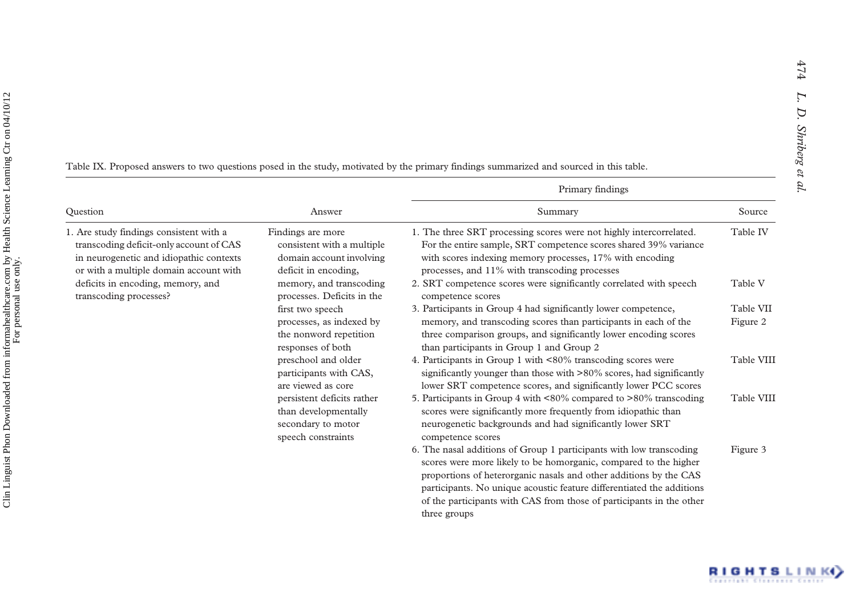|                                                                                                                                                                         |                                                                                                     | Primary findings                                                                                                                                                                                                                                                                                                                                              |                       |  |  |  |  |  |
|-------------------------------------------------------------------------------------------------------------------------------------------------------------------------|-----------------------------------------------------------------------------------------------------|---------------------------------------------------------------------------------------------------------------------------------------------------------------------------------------------------------------------------------------------------------------------------------------------------------------------------------------------------------------|-----------------------|--|--|--|--|--|
| Question                                                                                                                                                                | Answer                                                                                              | Summary                                                                                                                                                                                                                                                                                                                                                       |                       |  |  |  |  |  |
| 1. Are study findings consistent with a<br>transcoding deficit-only account of CAS<br>in neurogenetic and idiopathic contexts<br>or with a multiple domain account with | Findings are more<br>consistent with a multiple<br>domain account involving<br>deficit in encoding, | 1. The three SRT processing scores were not highly intercorrelated.<br>For the entire sample, SRT competence scores shared 39% variance<br>with scores indexing memory processes, 17% with encoding<br>processes, and 11% with transcoding processes                                                                                                          | Table IV              |  |  |  |  |  |
| deficits in encoding, memory, and<br>transcoding processes?                                                                                                             | memory, and transcoding<br>processes. Deficits in the                                               | 2. SRT competence scores were significantly correlated with speech<br>competence scores                                                                                                                                                                                                                                                                       | Table V               |  |  |  |  |  |
|                                                                                                                                                                         | first two speech<br>processes, as indexed by<br>the nonword repetition<br>responses of both         | 3. Participants in Group 4 had significantly lower competence,<br>memory, and transcoding scores than participants in each of the<br>three comparison groups, and significantly lower encoding scores<br>than participants in Group 1 and Group 2                                                                                                             | Table VII<br>Figure 2 |  |  |  |  |  |
|                                                                                                                                                                         | preschool and older<br>participants with CAS,<br>are viewed as core                                 | 4. Participants in Group 1 with <80% transcoding scores were<br>significantly younger than those with >80% scores, had significantly<br>lower SRT competence scores, and significantly lower PCC scores                                                                                                                                                       | Table VIII            |  |  |  |  |  |
|                                                                                                                                                                         | persistent deficits rather<br>than developmentally<br>secondary to motor<br>speech constraints      | 5. Participants in Group 4 with <80% compared to >80% transcoding<br>scores were significantly more frequently from idiopathic than<br>neurogenetic backgrounds and had significantly lower SRT<br>competence scores                                                                                                                                          | Table VIII            |  |  |  |  |  |
|                                                                                                                                                                         |                                                                                                     | 6. The nasal additions of Group 1 participants with low transcoding<br>scores were more likely to be homorganic, compared to the higher<br>proportions of heterorganic nasals and other additions by the CAS<br>participants. No unique acoustic feature differentiated the additions<br>of the participants with CAS from those of participants in the other | Figure 3              |  |  |  |  |  |

three groups

Table IX. Proposed answers to two questions posed in the study, motivated by the primary findings summarized and sourced in this table.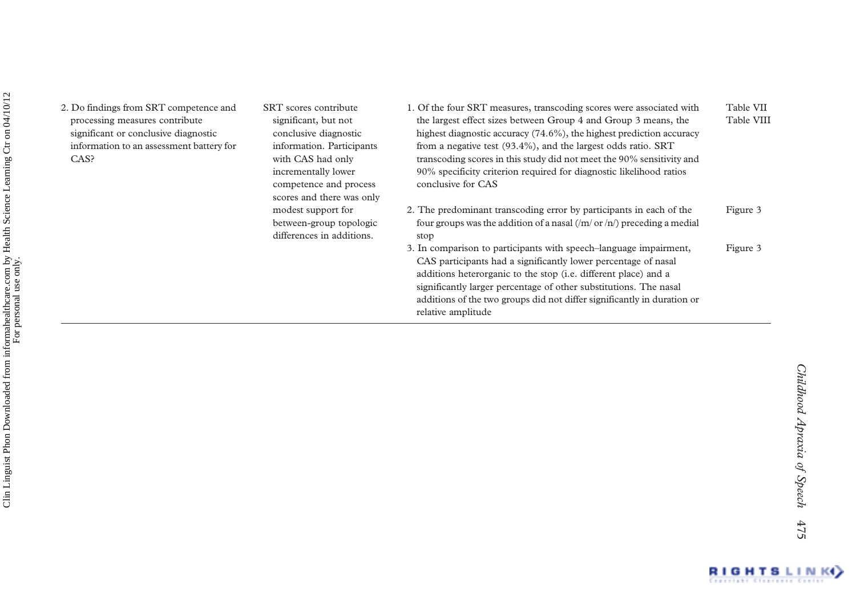2. Do findings from SRT competence and processing measures contribute significant or conclusive diagnostic information to an assessment battery for CAS? SRT scores contributesignificant, but not conclusive diagnostic information. Participants with CAS had only incrementally lower competence and process scores and there was only modest support for between-group topologic differences in additions. 1. Of the four SRT measures, transcoding scores were associated with the largest effect sizes between Group 4 and Group 3 means, the highest diagnostic accuracy (74.6%), the highest prediction accuracy from <sup>a</sup> negative test (93.4%), and the largest odds ratio. SRT transcoding scores in this study did not meet the 90% sensitivity and 90% specificity criterion required for diagnostic likelihood ratios conclusive for CAS2. The predominant transcoding error by participants in each of the four groups was the addition of a nasal  $\langle m \rangle$  or  $\langle n \rangle$  preceding a medial stop 3. In comparison to participants with speech–language impairment, CAS participants had <sup>a</sup> significantly lower percentage of nasal additions heterorganic to the stop (i.e. different place) and <sup>a</sup> significantly larger percentage of other substitutions. The nasal additions of the two groups did not differ significantly in duration or Table VII Table VIII Figure 3 Figure 3

relative amplitude

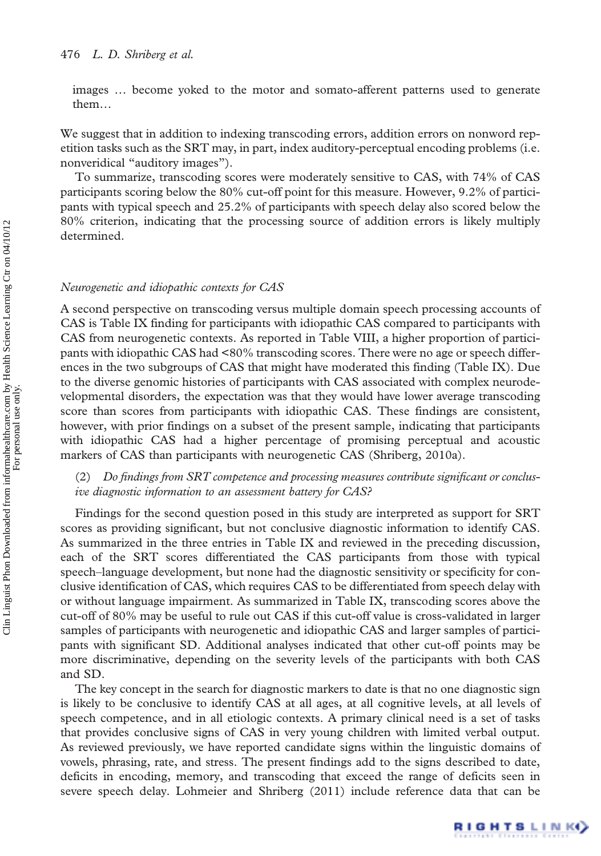images … become yoked to the motor and somato-afferent patterns used to generate them…

We suggest that in addition to indexing transcoding errors, addition errors on nonword repetition tasks such as the SRT may, in part, index auditory-perceptual encoding problems (i.e. nonveridical "auditory images").

To summarize, transcoding scores were moderately sensitive to CAS, with 74% of CAS participants scoring below the 80% cut-off point for this measure. However, 9.2% of participants with typical speech and 25.2% of participants with speech delay also scored below the 80% criterion, indicating that the processing source of addition errors is likely multiply determined.

# Neurogenetic and idiopathic contexts for CAS

A second perspective on transcoding versus multiple domain speech processing accounts of CAS is Table IX finding for participants with idiopathic CAS compared to participants with CAS from neurogenetic contexts. As reported in Table VIII, a higher proportion of participants with idiopathic CAS had <80% transcoding scores. There were no age or speech differences in the two subgroups of CAS that might have moderated this finding (Table IX). Due to the diverse genomic histories of participants with CAS associated with complex neurodevelopmental disorders, the expectation was that they would have lower average transcoding score than scores from participants with idiopathic CAS. These findings are consistent, however, with prior findings on a subset of the present sample, indicating that participants with idiopathic CAS had a higher percentage of promising perceptual and acoustic markers of CAS than participants with neurogenetic CAS (Shriberg, 2010a).

# (2) Do findings from SRT competence and processing measures contribute significant or conclusive diagnostic information to an assessment battery for CAS?

Findings for the second question posed in this study are interpreted as support for SRT scores as providing significant, but not conclusive diagnostic information to identify CAS. As summarized in the three entries in Table IX and reviewed in the preceding discussion, each of the SRT scores differentiated the CAS participants from those with typical speech–language development, but none had the diagnostic sensitivity or specificity for conclusive identification of CAS, which requires CAS to be differentiated from speech delay with or without language impairment. As summarized in Table IX, transcoding scores above the cut-off of 80% may be useful to rule out CAS if this cut-off value is cross-validated in larger samples of participants with neurogenetic and idiopathic CAS and larger samples of participants with significant SD. Additional analyses indicated that other cut-off points may be more discriminative, depending on the severity levels of the participants with both CAS and SD.

The key concept in the search for diagnostic markers to date is that no one diagnostic sign is likely to be conclusive to identify CAS at all ages, at all cognitive levels, at all levels of speech competence, and in all etiologic contexts. A primary clinical need is a set of tasks that provides conclusive signs of CAS in very young children with limited verbal output. As reviewed previously, we have reported candidate signs within the linguistic domains of vowels, phrasing, rate, and stress. The present findings add to the signs described to date, deficits in encoding, memory, and transcoding that exceed the range of deficits seen in severe speech delay. Lohmeier and Shriberg (2011) include reference data that can be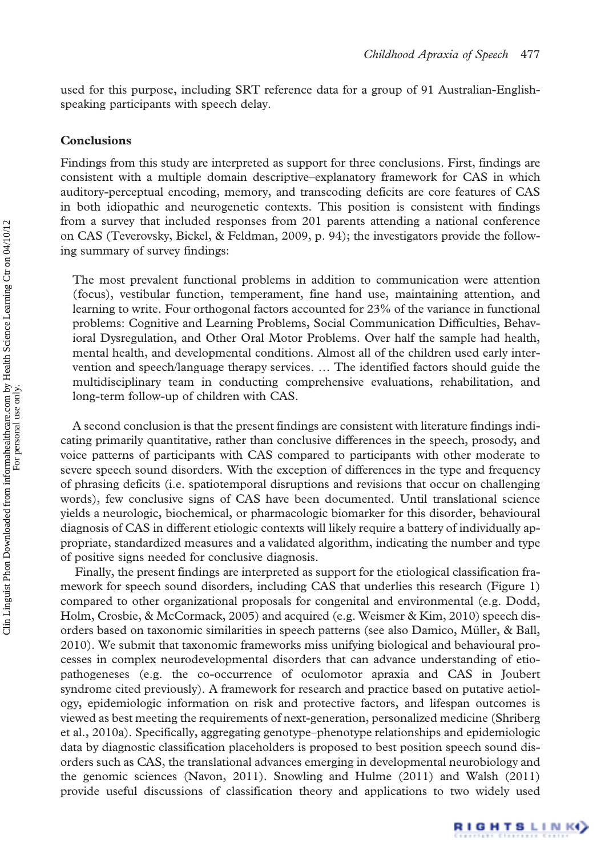used for this purpose, including SRT reference data for a group of 91 Australian-Englishspeaking participants with speech delay.

### Conclusions

Findings from this study are interpreted as support for three conclusions. First, findings are consistent with a multiple domain descriptive–explanatory framework for CAS in which auditory-perceptual encoding, memory, and transcoding deficits are core features of CAS in both idiopathic and neurogenetic contexts. This position is consistent with findings from a survey that included responses from 201 parents attending a national conference on CAS (Teverovsky, Bickel, & Feldman, 2009, p. 94); the investigators provide the following summary of survey findings:

The most prevalent functional problems in addition to communication were attention (focus), vestibular function, temperament, fine hand use, maintaining attention, and learning to write. Four orthogonal factors accounted for 23% of the variance in functional problems: Cognitive and Learning Problems, Social Communication Difficulties, Behavioral Dysregulation, and Other Oral Motor Problems. Over half the sample had health, mental health, and developmental conditions. Almost all of the children used early intervention and speech/language therapy services. … The identified factors should guide the multidisciplinary team in conducting comprehensive evaluations, rehabilitation, and long-term follow-up of children with CAS.

A second conclusion is that the present findings are consistent with literature findings indicating primarily quantitative, rather than conclusive differences in the speech, prosody, and voice patterns of participants with CAS compared to participants with other moderate to severe speech sound disorders. With the exception of differences in the type and frequency of phrasing deficits (i.e. spatiotemporal disruptions and revisions that occur on challenging words), few conclusive signs of CAS have been documented. Until translational science yields a neurologic, biochemical, or pharmacologic biomarker for this disorder, behavioural diagnosis of CAS in different etiologic contexts will likely require a battery of individually appropriate, standardized measures and a validated algorithm, indicating the number and type of positive signs needed for conclusive diagnosis.

Finally, the present findings are interpreted as support for the etiological classification framework for speech sound disorders, including CAS that underlies this research (Figure 1) compared to other organizational proposals for congenital and environmental (e.g. Dodd, Holm, Crosbie, & McCormack, 2005) and acquired (e.g. Weismer & Kim, 2010) speech disorders based on taxonomic similarities in speech patterns (see also Damico, Müller, & Ball, 2010). We submit that taxonomic frameworks miss unifying biological and behavioural processes in complex neurodevelopmental disorders that can advance understanding of etiopathogeneses (e.g. the co-occurrence of oculomotor apraxia and CAS in Joubert syndrome cited previously). A framework for research and practice based on putative aetiology, epidemiologic information on risk and protective factors, and lifespan outcomes is viewed as best meeting the requirements of next-generation, personalized medicine (Shriberg et al., 2010a). Specifically, aggregating genotype–phenotype relationships and epidemiologic data by diagnostic classification placeholders is proposed to best position speech sound disorders such as CAS, the translational advances emerging in developmental neurobiology and the genomic sciences (Navon, 2011). Snowling and Hulme (2011) and Walsh (2011) provide useful discussions of classification theory and applications to two widely used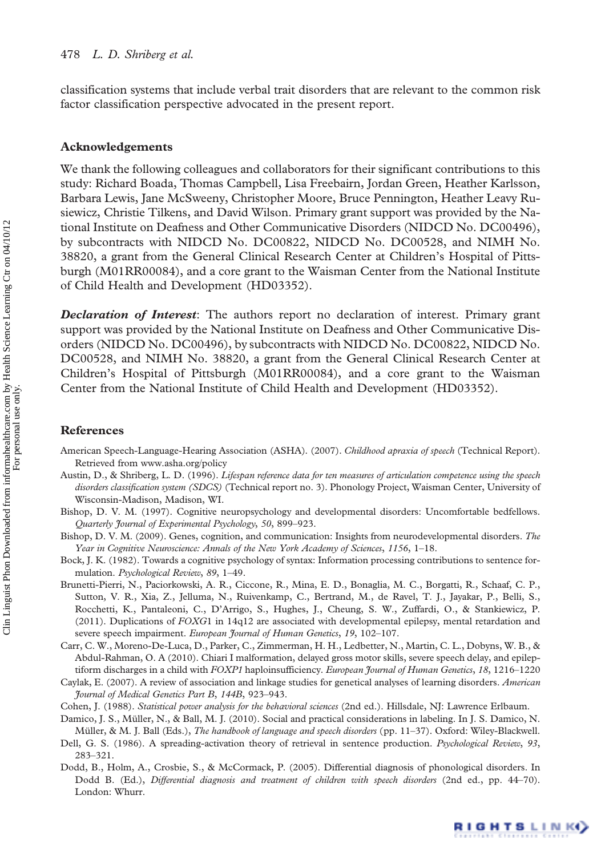classification systems that include verbal trait disorders that are relevant to the common risk factor classification perspective advocated in the present report.

#### Acknowledgements

We thank the following colleagues and collaborators for their significant contributions to this study: Richard Boada, Thomas Campbell, Lisa Freebairn, Jordan Green, Heather Karlsson, Barbara Lewis, Jane McSweeny, Christopher Moore, Bruce Pennington, Heather Leavy Rusiewicz, Christie Tilkens, and David Wilson. Primary grant support was provided by the National Institute on Deafness and Other Communicative Disorders (NIDCD No. DC00496), by subcontracts with NIDCD No. DC00822, NIDCD No. DC00528, and NIMH No. 38820, a grant from the General Clinical Research Center at Children's Hospital of Pittsburgh (M01RR00084), and a core grant to the Waisman Center from the National Institute of Child Health and Development (HD03352).

**Declaration of Interest:** The authors report no declaration of interest. Primary grant support was provided by the National Institute on Deafness and Other Communicative Disorders (NIDCD No. DC00496), by subcontracts with NIDCD No. DC00822, NIDCD No. DC00528, and NIMH No. 38820, a grant from the General Clinical Research Center at Children's Hospital of Pittsburgh (M01RR00084), and a core grant to the Waisman Center from the National Institute of Child Health and Development (HD03352).

# References

- American Speech-Language-Hearing Association (ASHA). (2007). Childhood apraxia of speech (Technical Report). Retrieved from www.asha.org/policy
- Austin, D., & Shriberg, L. D. (1996). Lifespan reference data for ten measures of articulation competence using the speech disorders classification system (SDCS) (Technical report no. 3). Phonology Project, Waisman Center, University of Wisconsin-Madison, Madison, WI.
- Bishop, D. V. M. (1997). Cognitive neuropsychology and developmental disorders: Uncomfortable bedfellows. Quarterly Journal of Experimental Psychology, 50, 899–923.
- Bishop, D. V. M. (2009). Genes, cognition, and communication: Insights from neurodevelopmental disorders. The Year in Cognitive Neuroscience: Annals of the New York Academy of Sciences, 1156, 1–18.
- Bock, J. K. (1982). Towards a cognitive psychology of syntax: Information processing contributions to sentence formulation. Psychological Review, 89, 1–49.
- Brunetti-Pierri, N., Paciorkowski, A. R., Ciccone, R., Mina, E. D., Bonaglia, M. C., Borgatti, R., Schaaf, C. P., Sutton, V. R., Xia, Z., Jelluma, N., Ruivenkamp, C., Bertrand, M., de Ravel, T. J., Jayakar, P., Belli, S., Rocchetti, K., Pantaleoni, C., D'Arrigo, S., Hughes, J., Cheung, S. W., Zuffardi, O., & Stankiewicz, P. (2011). Duplications of FOXG1 in 14q12 are associated with developmental epilepsy, mental retardation and severe speech impairment. European Journal of Human Genetics, 19, 102-107.
- Carr, C. W., Moreno-De-Luca, D., Parker, C., Zimmerman, H. H., Ledbetter, N., Martin, C. L., Dobyns, W. B., & Abdul-Rahman, O. A (2010). Chiari I malformation, delayed gross motor skills, severe speech delay, and epileptiform discharges in a child with FOXP1 haploinsufficiency. European Journal of Human Genetics, 18, 1216–1220
- Caylak, E. (2007). A review of association and linkage studies for genetical analyses of learning disorders. American Journal of Medical Genetics Part B, 144B, 923–943.
- Cohen, J. (1988). Statistical power analysis for the behavioral sciences (2nd ed.). Hillsdale, NJ: Lawrence Erlbaum.
- Damico, J. S., Müller, N., & Ball, M. J. (2010). Social and practical considerations in labeling. In J. S. Damico, N. Müller, & M. J. Ball (Eds.), The handbook of language and speech disorders (pp. 11–37). Oxford: Wiley-Blackwell.
- Dell, G. S. (1986). A spreading-activation theory of retrieval in sentence production. Psychological Review, 93, 283–321.
- Dodd, B., Holm, A., Crosbie, S., & McCormack, P. (2005). Differential diagnosis of phonological disorders. In Dodd B. (Ed.), Differential diagnosis and treatment of children with speech disorders (2nd ed., pp. 44–70). London: Whurr.

RIGHTSLINK)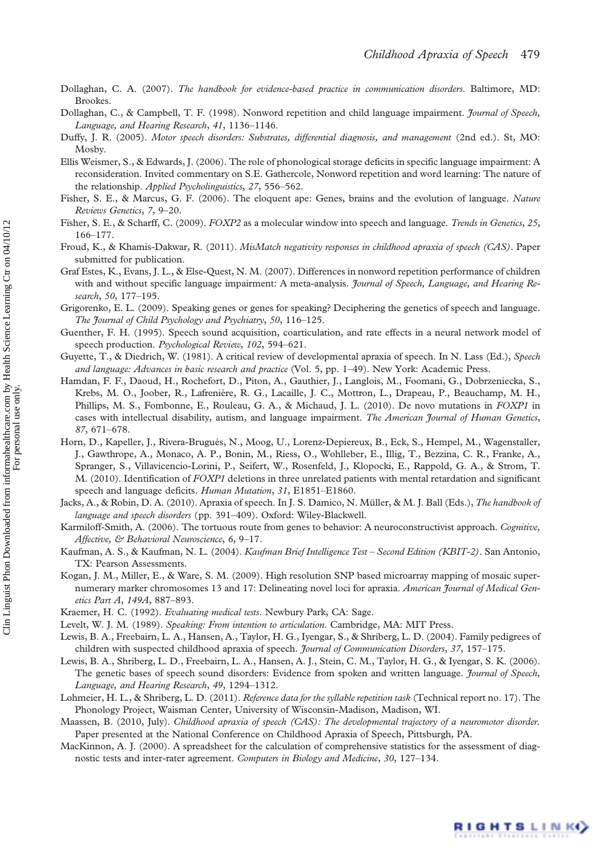RIGHTSLINK)

- Dollaghan, C. A. (2007). The handbook for evidence-based practice in communication disorders. Baltimore, MD: Brookes.
- Dollaghan, C., & Campbell, T. F. (1998). Nonword repetition and child language impairment. Journal of Speech, Language, and Hearing Research, 41, 1136–1146.
- Duffy, J. R. (2005). Motor speech disorders: Substrates, differential diagnosis, and management (2nd ed.). St, MO: Mosby.
- Ellis Weismer, S., & Edwards, J. (2006). The role of phonological storage deficits in specific language impairment: A reconsideration. Invited commentary on S.E. Gathercole, Nonword repetition and word learning: The nature of the relationship. Applied Psycholinguistics, 27, 556–562.
- Fisher, S. E., & Marcus, G. F. (2006). The eloquent ape: Genes, brains and the evolution of language. Nature Reviews Genetics, 7, 9–20.
- Fisher, S. E., & Scharff, C. (2009). FOXP2 as a molecular window into speech and language. Trends in Genetics, 25, 166–177.
- Froud, K., & Khamis-Dakwar, R. (2011). MisMatch negativity responses in childhood apraxia of speech (CAS). Paper submitted for publication.
- Graf Estes, K., Evans, J. L., & Else-Quest, N. M. (2007). Differences in nonword repetition performance of children with and without specific language impairment: A meta-analysis. *Journal of Speech, Language, and Hearing Re*search, 50, 177–195.
- Grigorenko, E. L. (2009). Speaking genes or genes for speaking? Deciphering the genetics of speech and language. The Journal of Child Psychology and Psychiatry, 50, 116–125.
- Guenther, F. H. (1995). Speech sound acquisition, coarticulation, and rate effects in a neural network model of speech production. Psychological Review, 102, 594–621.
- Guyette, T., & Diedrich, W. (1981). A critical review of developmental apraxia of speech. In N. Lass (Ed.), Speech and language: Advances in basic research and practice (Vol. 5, pp. 1–49). New York: Academic Press.
- Hamdan, F. F., Daoud, H., Rochefort, D., Piton, A., Gauthier, J., Langlois, M., Foomani, G., Dobrzeniecka, S., Krebs, M. O., Joober, R., Lafrenière, R. G., Lacaille, J. C., Mottron, L., Drapeau, P., Beauchamp, M. H., Phillips, M. S., Fombonne, E., Rouleau, G. A., & Michaud, J. L. (2010). De novo mutations in FOXP1 in cases with intellectual disability, autism, and language impairment. The American Journal of Human Genetics, 87, 671–678.
- Horn, D., Kapeller, J., Rivera-Brugués, N., Moog, U., Lorenz-Depiereux, B., Eck, S., Hempel, M., Wagenstaller, J., Gawthrope, A., Monaco, A. P., Bonin, M., Riess, O., Wohlleber, E., Illig, T., Bezzina, C. R., Franke, A., Spranger, S., Villavicencio-Lorini, P., Seifert, W., Rosenfeld, J., Klopocki, E., Rappold, G. A., & Strom, T. M. (2010). Identification of FOXP1 deletions in three unrelated patients with mental retardation and significant speech and language deficits. Human Mutation, 31, E1851-E1860.
- Jacks, A., & Robin, D. A. (2010). Apraxia of speech. In J. S. Damico, N. Müller, & M. J. Ball (Eds.), The handbook of language and speech disorders (pp. 391-409). Oxford: Wiley-Blackwell.
- Karmiloff-Smith, A. (2006). The tortuous route from genes to behavior: A neuroconstructivist approach. Cognitive, Affective, & Behavioral Neuroscience, 6, 9–17.
- Kaufman, A. S., & Kaufman, N. L. (2004). Kaufman Brief Intelligence Test Second Edition (KBIT-2). San Antonio, TX: Pearson Assessments.
- Kogan, J. M., Miller, E., & Ware, S. M. (2009). High resolution SNP based microarray mapping of mosaic supernumerary marker chromosomes 13 and 17: Delineating novel loci for apraxia. American Journal of Medical Genetics Part A, 149A, 887–893.
- Kraemer, H. C. (1992). Evaluating medical tests. Newbury Park, CA: Sage.
- Levelt, W. J. M. (1989). Speaking: From intention to articulation. Cambridge, MA: MIT Press.
- Lewis, B. A., Freebairn, L. A., Hansen, A., Taylor, H. G., Iyengar, S., & Shriberg, L. D. (2004). Family pedigrees of children with suspected childhood apraxia of speech. *Journal of Communication Disorders*, 37, 157–175.
- Lewis, B. A., Shriberg, L. D., Freebairn, L. A., Hansen, A. J., Stein, C. M., Taylor, H. G., & Iyengar, S. K. (2006). The genetic bases of speech sound disorders: Evidence from spoken and written language. *Journal of Speech*, Language, and Hearing Research, 49, 1294–1312.
- Lohmeier, H. L., & Shriberg, L. D. (2011). Reference data for the syllable repetition task (Technical report no. 17). The Phonology Project, Waisman Center, University of Wisconsin-Madison, Madison, WI.
- Maassen, B. (2010, July). Childhood apraxia of speech (CAS): The developmental trajectory of a neuromotor disorder. Paper presented at the National Conference on Childhood Apraxia of Speech, Pittsburgh, PA.
- MacKinnon, A. J. (2000). A spreadsheet for the calculation of comprehensive statistics for the assessment of diagnostic tests and inter-rater agreement. Computers in Biology and Medicine, 30, 127–134.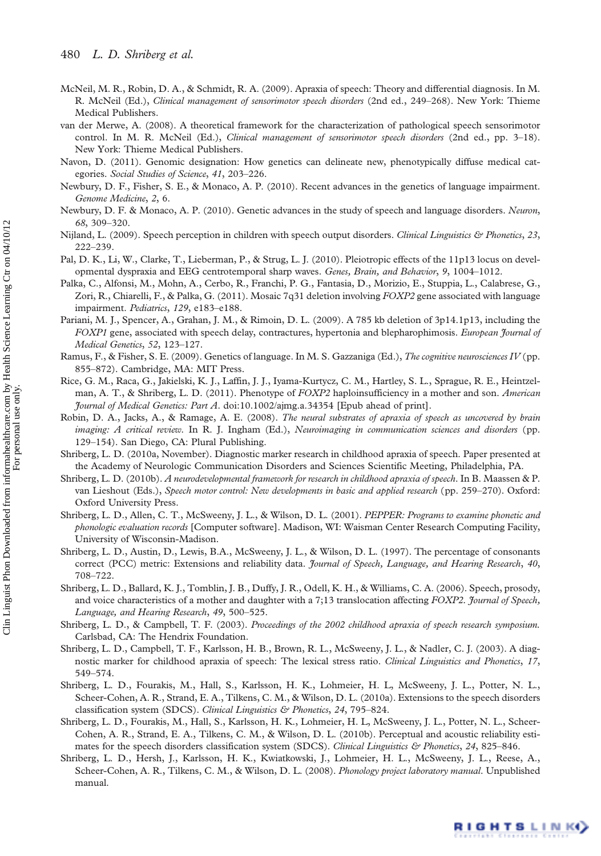- McNeil, M. R., Robin, D. A., & Schmidt, R. A. (2009). Apraxia of speech: Theory and differential diagnosis. In M. R. McNeil (Ed.), Clinical management of sensorimotor speech disorders (2nd ed., 249–268). New York: Thieme Medical Publishers.
- van der Merwe, A. (2008). A theoretical framework for the characterization of pathological speech sensorimotor control. In M. R. McNeil (Ed.), Clinical management of sensorimotor speech disorders (2nd ed., pp. 3-18). New York: Thieme Medical Publishers.
- Navon, D. (2011). Genomic designation: How genetics can delineate new, phenotypically diffuse medical categories. Social Studies of Science, 41, 203–226.
- Newbury, D. F., Fisher, S. E., & Monaco, A. P. (2010). Recent advances in the genetics of language impairment. Genome Medicine, 2, 6.
- Newbury, D. F. & Monaco, A. P. (2010). Genetic advances in the study of speech and language disorders. Neuron, 68, 309–320.
- Nijland, L. (2009). Speech perception in children with speech output disorders. Clinical Linguistics & Phonetics, 23, 222–239.
- Pal, D. K., Li, W., Clarke, T., Lieberman, P., & Strug, L. J. (2010). Pleiotropic effects of the 11p13 locus on developmental dyspraxia and EEG centrotemporal sharp waves. Genes, Brain, and Behavior, 9, 1004–1012.
- Palka, C., Alfonsi, M., Mohn, A., Cerbo, R., Franchi, P. G., Fantasia, D., Morizio, E., Stuppia, L., Calabrese, G., Zori, R., Chiarelli, F., & Palka, G. (2011). Mosaic 7q31 deletion involving FOXP2 gene associated with language impairment. Pediatrics, 129, e183–e188.
- Pariani, M. J., Spencer, A., Grahan, J. M., & Rimoin, D. L. (2009). A 785 kb deletion of 3p14.1p13, including the FOXP1 gene, associated with speech delay, contractures, hypertonia and blepharophimosis. European Journal of Medical Genetics, 52, 123–127.
- Ramus, F., & Fisher, S. E. (2009). Genetics of language. In M. S. Gazzaniga (Ed.), *The cognitive neurosciences IV* (pp. 855–872). Cambridge, MA: MIT Press.
- Rice, G. M., Raca, G., Jakielski, K. J., Laffin, J. J., Iyama-Kurtycz, C. M., Hartley, S. L., Sprague, R. E., Heintzelman, A. T., & Shriberg, L. D. (2011). Phenotype of FOXP2 haploinsufficiency in a mother and son. American Journal of Medical Genetics: Part A. doi:10.1002/ajmg.a.34354 [Epub ahead of print].
- Robin, D. A., Jacks, A., & Ramage, A. E. (2008). The neural substrates of apraxia of speech as uncovered by brain imaging: A critical review. In R. J. Ingham (Ed.), Neuroimaging in communication sciences and disorders (pp. 129–154). San Diego, CA: Plural Publishing.
- Shriberg, L. D. (2010a, November). Diagnostic marker research in childhood apraxia of speech. Paper presented at the Academy of Neurologic Communication Disorders and Sciences Scientific Meeting, Philadelphia, PA.
- Shriberg, L. D. (2010b). A neurodevelopmental framework for research in childhood apraxia of speech. In B. Maassen & P. van Lieshout (Eds.), Speech motor control: New developments in basic and applied research (pp. 259-270). Oxford: Oxford University Press.
- Shriberg, L. D., Allen, C. T., McSweeny, J. L., & Wilson, D. L. (2001). PEPPER: Programs to examine phonetic and phonologic evaluation records [Computer software]. Madison, WI: Waisman Center Research Computing Facility, University of Wisconsin-Madison.
- Shriberg, L. D., Austin, D., Lewis, B.A., McSweeny, J. L., & Wilson, D. L. (1997). The percentage of consonants correct (PCC) metric: Extensions and reliability data. Journal of Speech, Language, and Hearing Research, 40, 708–722.
- Shriberg, L. D., Ballard, K. J., Tomblin, J. B., Duffy, J. R., Odell, K. H., & Williams, C. A. (2006). Speech, prosody, and voice characteristics of a mother and daughter with a 7;13 translocation affecting FOXP2. Journal of Speech, Language, and Hearing Research, 49, 500–525.
- Shriberg, L. D., & Campbell, T. F. (2003). Proceedings of the 2002 childhood apraxia of speech research symposium. Carlsbad, CA: The Hendrix Foundation.
- Shriberg, L. D., Campbell, T. F., Karlsson, H. B., Brown, R. L., McSweeny, J. L., & Nadler, C. J. (2003). A diagnostic marker for childhood apraxia of speech: The lexical stress ratio. Clinical Linguistics and Phonetics, 17, 549–574.
- Shriberg, L. D., Fourakis, M., Hall, S., Karlsson, H. K., Lohmeier, H. L, McSweeny, J. L., Potter, N. L., Scheer-Cohen, A. R., Strand, E. A., Tilkens, C. M., & Wilson, D. L. (2010a). Extensions to the speech disorders classification system (SDCS). Clinical Linguistics & Phonetics, 24, 795-824.
- Shriberg, L. D., Fourakis, M., Hall, S., Karlsson, H. K., Lohmeier, H. L, McSweeny, J. L., Potter, N. L., Scheer-Cohen, A. R., Strand, E. A., Tilkens, C. M., & Wilson, D. L. (2010b). Perceptual and acoustic reliability estimates for the speech disorders classification system (SDCS). Clinical Linguistics & Phonetics, 24, 825–846.
- Shriberg, L. D., Hersh, J., Karlsson, H. K., Kwiatkowski, J., Lohmeier, H. L., McSweeny, J. L., Reese, A., Scheer-Cohen, A. R., Tilkens, C. M., & Wilson, D. L. (2008). Phonology project laboratory manual. Unpublished manual.

RIGHTSLINKO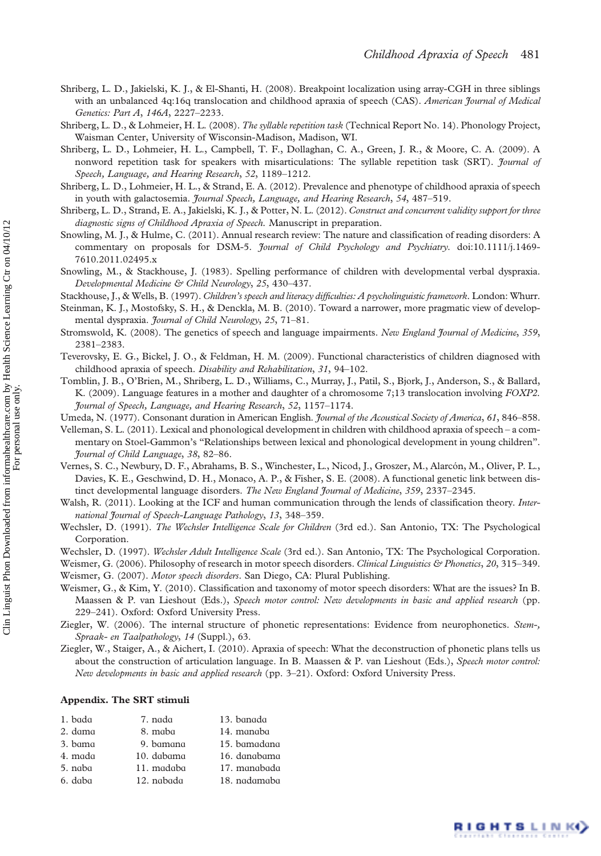- Shriberg, L. D., Jakielski, K. J., & El-Shanti, H. (2008). Breakpoint localization using array-CGH in three siblings with an unbalanced 4q:16q translocation and childhood apraxia of speech (CAS). American Journal of Medical Genetics: Part A, 146A, 2227–2233.
- Shriberg, L. D., & Lohmeier, H. L. (2008). The syllable repetition task (Technical Report No. 14). Phonology Project, Waisman Center, University of Wisconsin-Madison, Madison, WI.
- Shriberg, L. D., Lohmeier, H. L., Campbell, T. F., Dollaghan, C. A., Green, J. R., & Moore, C. A. (2009). A nonword repetition task for speakers with misarticulations: The syllable repetition task (SRT). *Journal of* Speech, Language, and Hearing Research, 52, 1189–1212.
- Shriberg, L. D., Lohmeier, H. L., & Strand, E. A. (2012). Prevalence and phenotype of childhood apraxia of speech in youth with galactosemia. Journal Speech, Language, and Hearing Research, 54, 487-519.
- Shriberg, L. D., Strand, E. A., Jakielski, K. J., & Potter, N. L. (2012). Construct and concurrent validity support for three diagnostic signs of Childhood Apraxia of Speech. Manuscript in preparation.
- Snowling, M. J., & Hulme, C. (2011). Annual research review: The nature and classification of reading disorders: A commentary on proposals for DSM-5. *Journal of Child Psychology and Psychiatry*. doi:10.1111/j.1469-7610.2011.02495.x
- Snowling, M., & Stackhouse, J. (1983). Spelling performance of children with developmental verbal dyspraxia. Developmental Medicine & Child Neurology, 25, 430–437.
- Stackhouse, J., & Wells, B. (1997). Children's speech and literacy difficulties: A psycholinguistic framework. London: Whurr.
- Steinman, K. J., Mostofsky, S. H., & Denckla, M. B. (2010). Toward a narrower, more pragmatic view of developmental dyspraxia. *Journal of Child Neurology*, 25, 71-81.
- Stromswold, K. (2008). The genetics of speech and language impairments. New England Journal of Medicine, 359, 2381–2383.
- Teverovsky, E. G., Bickel, J. O., & Feldman, H. M. (2009). Functional characteristics of children diagnosed with childhood apraxia of speech. Disability and Rehabilitation, 31, 94–102.
- Tomblin, J. B., O'Brien, M., Shriberg, L. D., Williams, C., Murray, J., Patil, S., Bjork, J., Anderson, S., & Ballard, K. (2009). Language features in a mother and daughter of a chromosome 7;13 translocation involving FOXP2. Journal of Speech, Language, and Hearing Research, 52, 1157–1174.
- Umeda, N. (1977). Consonant duration in American English. Journal of the Acoustical Society of America, 61, 846–858.
- Velleman, S. L. (2011). Lexical and phonological development in children with childhood apraxia of speech a commentary on Stoel-Gammon's "Relationships between lexical and phonological development in young children". Journal of Child Language, 38, 82–86.
- Vernes, S. C., Newbury, D. F., Abrahams, B. S., Winchester, L., Nicod, J., Groszer, M., Alarcón, M., Oliver, P. L., Davies, K. E., Geschwind, D. H., Monaco, A. P., & Fisher, S. E. (2008). A functional genetic link between distinct developmental language disorders. The New England Journal of Medicine, 359, 2337-2345.
- Walsh, R. (2011). Looking at the ICF and human communication through the lends of classification theory. *Inter*national Journal of Speech-Language Pathology, 13, 348–359.
- Wechsler, D. (1991). The Wechsler Intelligence Scale for Children (3rd ed.). San Antonio, TX: The Psychological **Corporation**
- Wechsler, D. (1997). Wechsler Adult Intelligence Scale (3rd ed.). San Antonio, TX: The Psychological Corporation.
- Weismer, G. (2006). Philosophy of research in motor speech disorders. Clinical Linguistics & Phonetics, 20, 315–349. Weismer, G. (2007). Motor speech disorders. San Diego, CA: Plural Publishing.
- 
- Weismer, G., & Kim, Y. (2010). Classification and taxonomy of motor speech disorders: What are the issues? In B. Maassen & P. van Lieshout (Eds.), Speech motor control: New developments in basic and applied research (pp. 229–241). Oxford: Oxford University Press.
- Ziegler, W. (2006). The internal structure of phonetic representations: Evidence from neurophonetics. Stem-, Spraak- en Taalpathology, 14 (Suppl.), 63.
- Ziegler, W., Staiger, A., & Aichert, I. (2010). Apraxia of speech: What the deconstruction of phonetic plans tells us about the construction of articulation language. In B. Maassen & P. van Lieshout (Eds.), Speech motor control: New developments in basic and applied research (pp. 3–21). Oxford: Oxford University Press.

#### Appendix. The SRT stimuli

| 1. bada | 7. nada    | 13. banada   |
|---------|------------|--------------|
| 2. dama | 8. maba    | 14. manaba   |
| 3. bama | 9. bamana  | 15. bamadana |
| 4. mada | 10. dabama | 16. danabama |
| 5. naba | 11. madaba | 17. manabada |
| 6. daba | 12. nabada | 18. nadamaba |